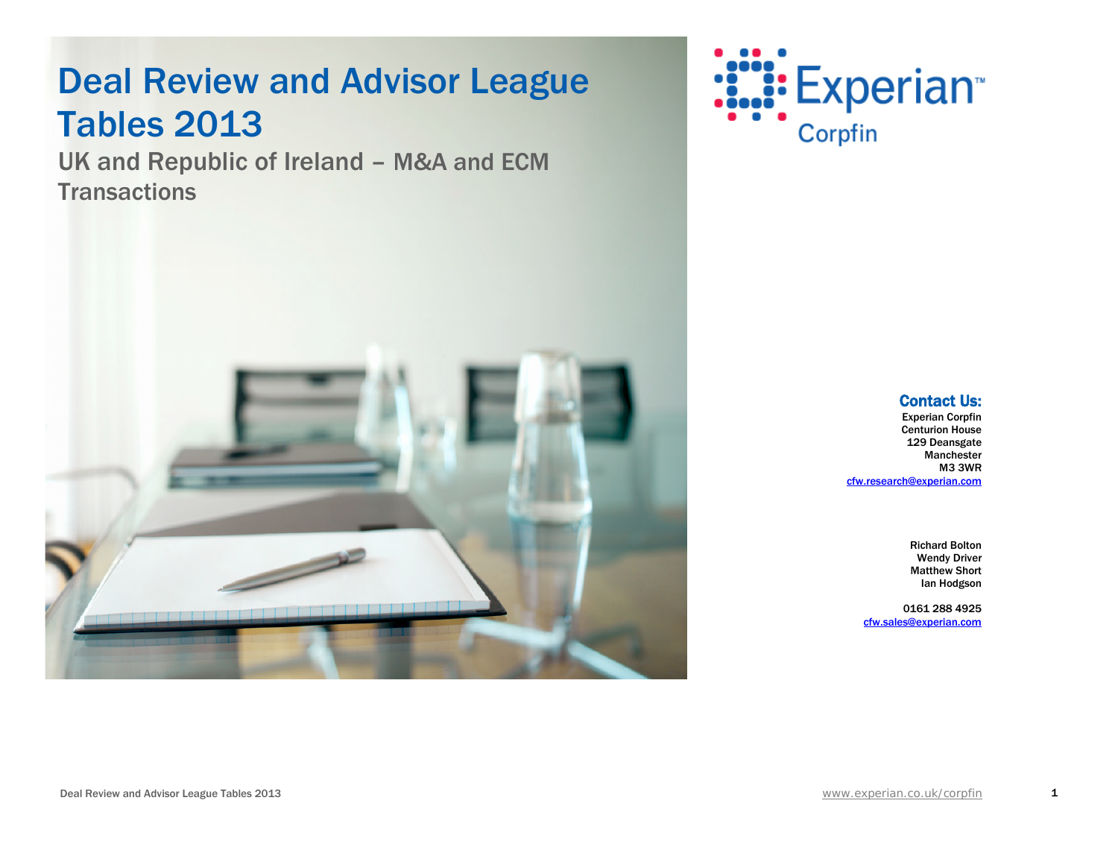UK and Republic of Ireland – M&A and ECM **Transactions** 





Richard Bolton Wendy Driver Matthew Short Ian Hodgson

0161 288 4925 [cfw.sales@experian.com](mailto:cfw.sales@experian.com)



1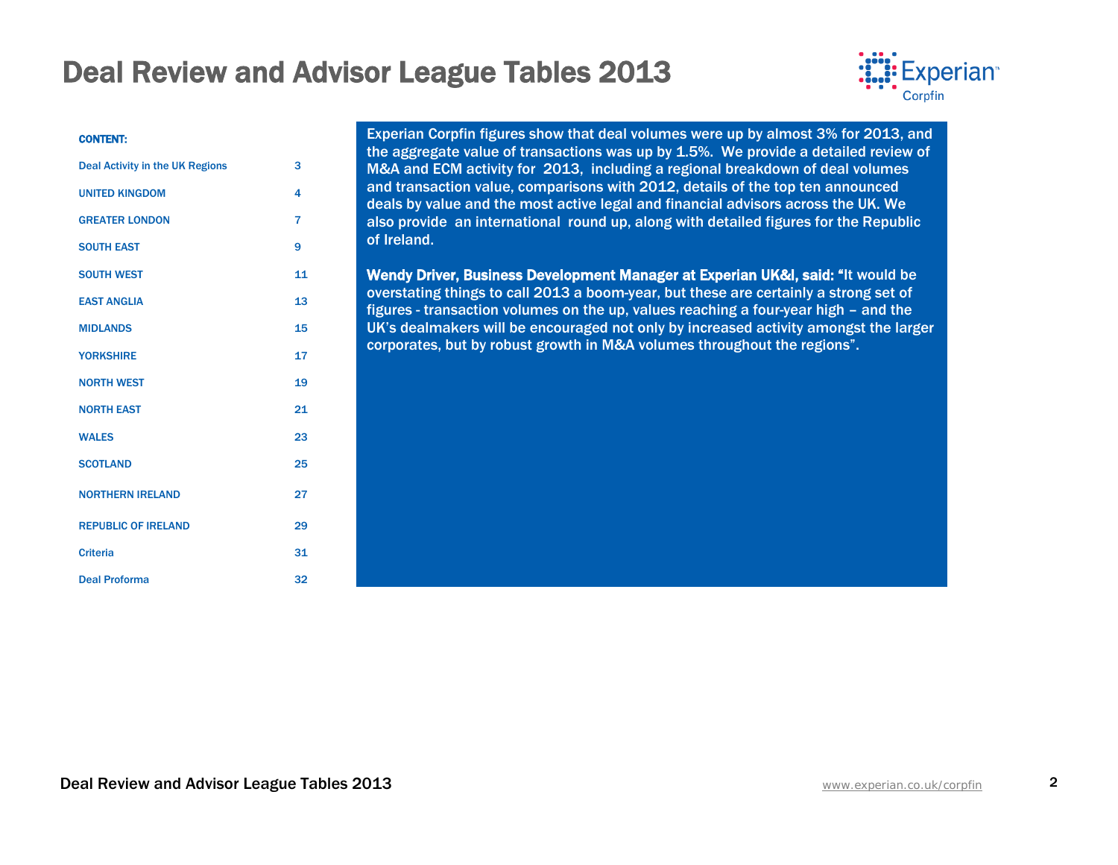

#### CONTENT:

| <b>Deal Activity in the UK Regions</b> | 3              |
|----------------------------------------|----------------|
| <b>UNITED KINGDOM</b>                  | 4              |
| <b>GREATER LONDON</b>                  | $\overline{7}$ |
| <b>SOUTH EAST</b>                      | 9              |
| <b>SOUTH WEST</b>                      | 11             |
| <b>EAST ANGLIA</b>                     | 13             |
| <b>MIDLANDS</b>                        | 15             |
| <b>YORKSHIRE</b>                       | 17             |
| <b>NORTH WEST</b>                      | 19             |
| <b>NORTH EAST</b>                      | 21             |
| <b>WALES</b>                           | 23             |
| <b>SCOTLAND</b>                        | 25             |
| <b>NORTHERN IRELAND</b>                | 27             |
| <b>REPUBLIC OF IRELAND</b>             | 29             |
| <b>Criteria</b>                        | 31             |
| <b>Deal Proforma</b>                   | 32             |

Experian Corpfin figures show that deal volumes were up by almost 3% for 2013, and the aggregate value of transactions was up by 1.5%. We provide a detailed review of M&A and ECM activity for 2013, including a regional breakdown of deal volumes and transaction value, comparisons with 2012, details of the top ten announced deals by value and the most active legal and financial advisors across the UK. We also provide an international round up, along with detailed figures for the Republic of Ireland.

Wendy Driver, Business Development Manager at Experian UK&I, said: "It would be overstating things to call 2013 a boom-year, but these are certainly a strong set of figures - transaction volumes on the up, values reaching a four-year high – and the UK's dealmakers will be encouraged not only by increased activity amongst the larger corporates, but by robust growth in M&A volumes throughout the regions".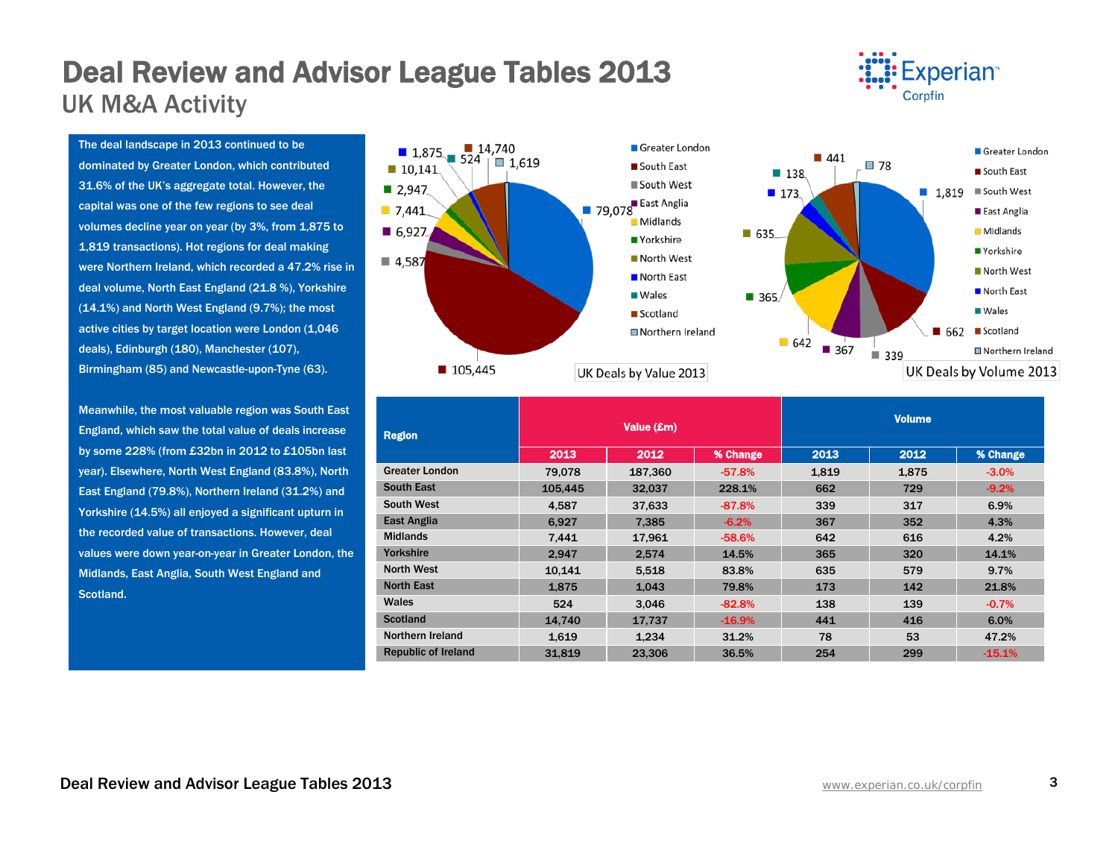# Deal Review and Advisor League Tables 2013<br>UK M&A Activity



The deal landscape in 2013 continued to be dominated by Greater London, which contributed 31.6% of the UK's aggregate total. However, the capital was one of the few regions to see deal volumes decline year on year (by 3%, from 1,875 to 1,819 transactions). Hot regions for deal making were Northern Ireland, which recorded a 47.2% rise in deal volume, North East England (21.8 %), Yorkshire (14.1%) and North West England (9.7%); the most active cities by target location were London (1,046 deals), Edinburgh (180), Manchester (107), Birmingham (85) and Newcastle-upon-Tyne (63).

Meanwhile, the most valuable region was South East England, which saw the total value of deals increase by some 228% (from £32bn in 2012 to £105bn last year). Elsewhere, North West England (83.8%), North East England (79.8%), Northern Ireland (31.2%) and Yorkshire (14.5%) all enjoyed a significant upturn in the recorded value of transactions. However, deal values were down year-on-year in Greater London, the Midlands, East Anglia, South West England and Scotland.



| <b>Region</b>              |         | Value (£m) |          |       | <b>Volume</b> |          |  |  |
|----------------------------|---------|------------|----------|-------|---------------|----------|--|--|
|                            | 2013    | 2012       | % Change | 2013  | 2012          | % Change |  |  |
| <b>Greater London</b>      | 79.078  | 187,360    | $-57.8%$ | 1,819 | 1,875         | $-3.0\%$ |  |  |
| <b>South East</b>          | 105.445 | 32.037     | 228.1%   | 662   | 729           | $-9.2%$  |  |  |
| <b>South West</b>          | 4,587   | 37,633     | $-87.8%$ | 339   | 317           | 6.9%     |  |  |
| <b>East Anglia</b>         | 6,927   | 7.385      | $-6.2%$  | 367   | 352           | 4.3%     |  |  |
| <b>Midlands</b>            | 7,441   | 17,961     | $-58.6%$ | 642   | 616           | 4.2%     |  |  |
| Yorkshire                  | 2.947   | 2.574      | 14.5%    | 365   | 320           | 14.1%    |  |  |
| <b>North West</b>          | 10,141  | 5,518      | 83.8%    | 635   | 579           | 9.7%     |  |  |
| <b>North East</b>          | 1,875   | 1,043      | 79.8%    | 173   | 142           | 21.8%    |  |  |
| Wales                      | 524     | 3.046      | $-82.8%$ | 138   | 139           | $-0.7%$  |  |  |
| <b>Scotland</b>            | 14.740  | 17,737     | $-16.9%$ | 441   | 416           | 6.0%     |  |  |
| Northern Ireland           | 1,619   | 1,234      | 31.2%    | 78    | 53            | 47.2%    |  |  |
| <b>Republic of Ireland</b> | 31.819  | 23.306     | 36.5%    | 254   | 299           | $-15.1%$ |  |  |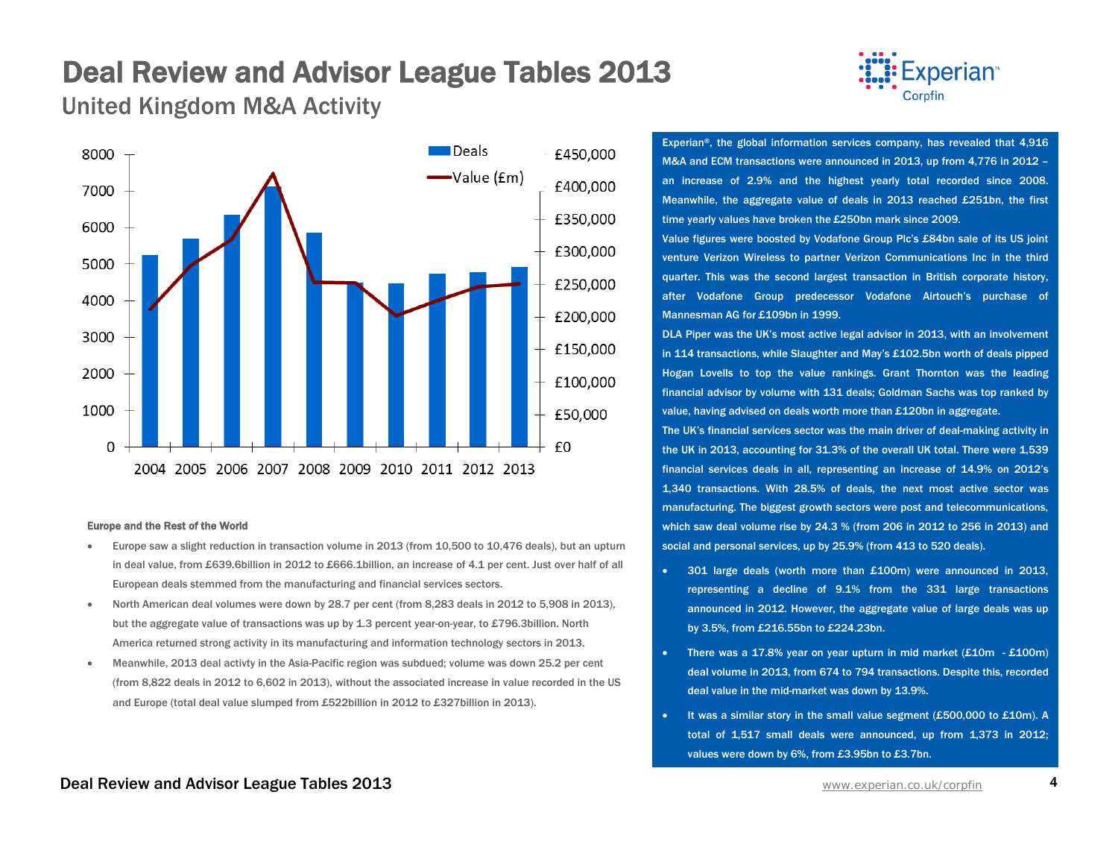United Kingdom M&A Activity



#### Europe and the Rest of the World

- Europe saw a slight reduction in transaction volume in 2013 (from 10,500 to 10,476 deals), but an upturn in deal value, from £639.6billion in 2012 to £666.1billion, an increase of 4.1 per cent. Just over half of all European deals stemmed from the manufacturing and financial services sectors.
- North American deal volumes were down by 28.7 per cent (from 8,283 deals in 2012 to 5,908 in 2013), but the aggregate value of transactions was up by 1.3 percent year-on-year, to £796.3billion. North America returned strong activity in its manufacturing and information technology sectors in 2013.
- Meanwhile, 2013 deal activty in the Asia-Pacific region was subdued; volume was down 25.2 per cent (from 8,822 deals in 2012 to 6,602 in 2013), without the associated increase in value recorded in the US and Europe (total deal value slumped from £522billion in 2012 to £327billion in 2013).



Experian®, the global information services company, has revealed that 4,916 M&A and ECM transactions were announced in 2013, up from 4,776 in 2012 – an increase of 2.9% and the highest yearly total recorded since 2008. Meanwhile, the aggregate value of deals in 2013 reached £251bn, the first time yearly values have broken the £250bn mark since 2009.

Value figures were boosted by Vodafone Group Plc's £84bn sale of its US joint venture Verizon Wireless to partner Verizon Communications Inc in the third quarter. This was the second largest transaction in British corporate history, after Vodafone Group predecessor Vodafone Airtouch's purchase of Mannesman AG for £109bn in 1999.

DLA Piper was the UK's most active legal advisor in 2013, with an involvement in 114 transactions, while Slaughter and May's £102.5bn worth of deals pipped Hogan Lovells to top the value rankings. Grant Thornton was the leading financial advisor by volume with 131 deals; Goldman Sachs was top ranked by value, having advised on deals worth more than £120bn in aggregate.

The UK's financial services sector was the main driver of deal-making activity in the UK in 2013, accounting for 31.3% of the overall UK total. There were 1,539 financial services deals in all, representing an increase of 14.9% on 2012's 1,340 transactions. With 28.5% of deals, the next most active sector was manufacturing. The biggest growth sectors were post and telecommunications, which saw deal volume rise by 24.3 % (from 206 in 2012 to 256 in 2013) and social and personal services, up by 25.9% (from 413 to 520 deals).

- 301 large deals (worth more than £100m) were announced in 2013, representing a decline of 9.1% from the 331 large transactions announced in 2012. However, the aggregate value of large deals was up by 3.5%, from £216.55bn to £224.23bn.
- There was a 17.8% year on year upturn in mid market  $(E10m E100m)$ deal volume in 2013, from 674 to 794 transactions. Despite this, recorded deal value in the mid-market was down by 13.9%.
- It was a similar story in the small value segment (£500,000 to £10m). A total of 1,517 small deals were announced, up from 1,373 in 2012; values were down by 6%, from £3.95bn to £3.7bn.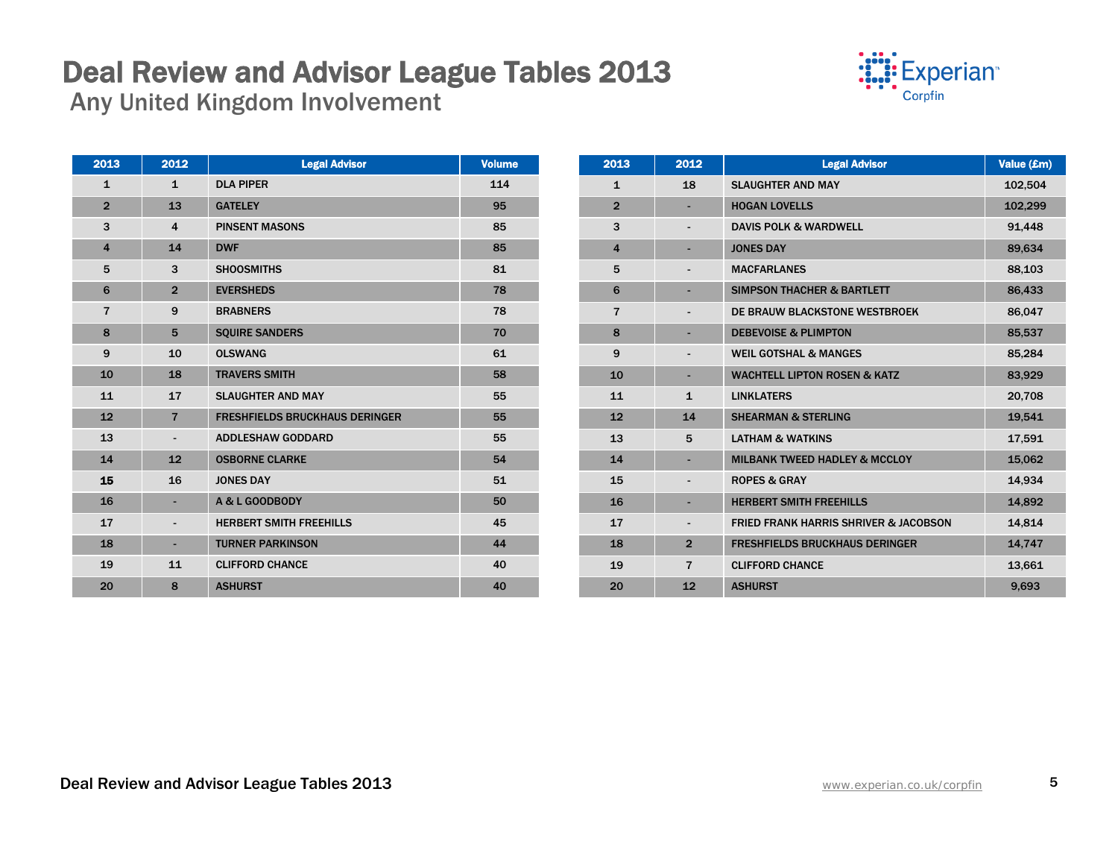### Deal Review and Advisor League Tables 2013<br>Any United Kingdom Involvement



| 2013                    | 2012                     | <b>Legal Advisor</b>                  | <b>Volume</b> |
|-------------------------|--------------------------|---------------------------------------|---------------|
| $\mathbf{1}$            | $\mathbf{1}$             | <b>DLA PIPER</b>                      | 114           |
| $\overline{2}$          | 13                       | <b>GATELEY</b>                        | 95            |
| 3                       | $\overline{\mathbf{4}}$  | <b>PINSENT MASONS</b>                 | 85            |
| $\overline{\mathbf{4}}$ | 14                       | <b>DWF</b>                            | 85            |
| 5                       | 3                        | <b>SHOOSMITHS</b>                     | 81            |
| 6                       | $\overline{2}$           | <b>EVERSHEDS</b>                      | 78            |
| $\overline{7}$          | 9                        | <b>BRABNERS</b>                       | 78            |
| 8                       | 5                        | <b>SQUIRE SANDERS</b>                 | 70            |
| 9                       | 10                       | <b>OLSWANG</b>                        | 61            |
| 10                      | 18                       | <b>TRAVERS SMITH</b>                  | 58            |
| 11                      | 17                       | <b>SLAUGHTER AND MAY</b>              | 55            |
| 12                      | $\overline{7}$           | <b>FRESHFIELDS BRUCKHAUS DERINGER</b> | 55            |
| 13                      | $\overline{\phantom{a}}$ | <b>ADDLESHAW GODDARD</b>              | 55            |
| 14                      | 12                       | <b>OSBORNE CLARKE</b>                 | 54            |
| 15                      | 16                       | <b>JONES DAY</b>                      | 51            |
| 16                      | ٠                        | A & L GOODBODY                        | 50            |
| 17                      | $\overline{\phantom{a}}$ | <b>HERBERT SMITH FREEHILLS</b>        | 45            |
| 18                      | ٠                        | <b>TURNER PARKINSON</b>               | 44            |
| 19                      | 11                       | <b>CLIFFORD CHANCE</b>                | 40            |
| 20                      | 8                        | <b>ASHURST</b>                        | 40            |

| 2013                    | 2012                     | <b>Legal Advisor</b>                             | Value (£m) |
|-------------------------|--------------------------|--------------------------------------------------|------------|
| $\mathbf{1}$            | 18                       | <b>SLAUGHTER AND MAY</b>                         | 102,504    |
| $\overline{2}$          |                          | <b>HOGAN LOVELLS</b>                             | 102,299    |
| 3                       |                          | <b>DAVIS POLK &amp; WARDWELL</b>                 | 91,448     |
| $\overline{\mathbf{4}}$ |                          | <b>JONES DAY</b>                                 | 89,634     |
| 5                       |                          | <b>MACFARLANES</b>                               | 88,103     |
| 6                       |                          | <b>SIMPSON THACHER &amp; BARTLETT</b>            | 86,433     |
| $\overline{7}$          |                          | DE BRAUW BLACKSTONE WESTBROEK                    | 86,047     |
| 8                       |                          | <b>DEBEVOISE &amp; PLIMPTON</b>                  | 85,537     |
| 9                       |                          | <b>WEIL GOTSHAL &amp; MANGES</b>                 | 85,284     |
| 10                      |                          | <b>WACHTELL LIPTON ROSEN &amp; KATZ</b>          | 83,929     |
| 11                      | $\mathbf{1}$             | <b>LINKLATERS</b>                                | 20,708     |
| 12                      | 14                       | <b>SHEARMAN &amp; STERLING</b>                   | 19,541     |
| 13                      | 5                        | <b>LATHAM &amp; WATKINS</b>                      | 17,591     |
| 14                      |                          | <b>MILBANK TWEED HADLEY &amp; MCCLOY</b>         | 15,062     |
| 15                      |                          | <b>ROPES &amp; GRAY</b>                          | 14,934     |
| 16                      |                          | <b>HERBERT SMITH FREEHILLS</b>                   | 14,892     |
| 17                      | $\overline{\phantom{a}}$ | <b>FRIED FRANK HARRIS SHRIVER &amp; JACOBSON</b> | 14,814     |
| 18                      | $\overline{2}$           | <b>FRESHFIELDS BRUCKHAUS DERINGER</b>            | 14,747     |
| 19                      | $\overline{7}$           | <b>CLIFFORD CHANCE</b>                           | 13,661     |
| 20                      | 12                       | <b>ASHURST</b>                                   | 9,693      |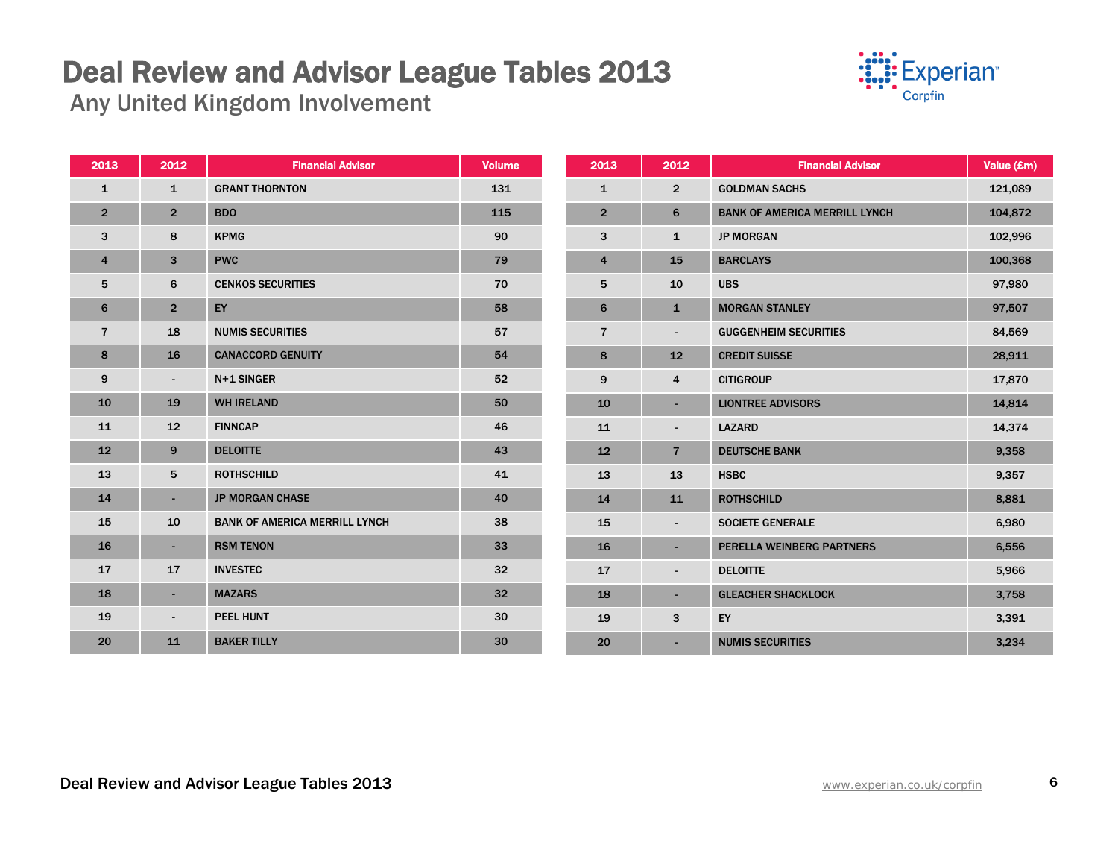**Experian**<sup>®</sup> Corpfin

| 2013           | 2012           | <b>Financial Advisor</b>             | <b>Volume</b>   | 2013           | 2012                     | <b>Financial Advisor</b>             | Value (£m) |
|----------------|----------------|--------------------------------------|-----------------|----------------|--------------------------|--------------------------------------|------------|
| 1              | $\mathbf{1}$   | <b>GRANT THORNTON</b>                | 131             | $\mathbf{1}$   | $\overline{2}$           | <b>GOLDMAN SACHS</b>                 | 121,089    |
| $\overline{2}$ | $\overline{2}$ | <b>BDO</b>                           | 115             | $\overline{2}$ | 6                        | <b>BANK OF AMERICA MERRILL LYNCH</b> | 104,872    |
| 3              | 8              | <b>KPMG</b>                          | 90              | 3              | $\mathbf{1}$             | <b>JP MORGAN</b>                     | 102,996    |
| $\overline{4}$ | 3              | <b>PWC</b>                           | 79              | $\overline{4}$ | 15                       | <b>BARCLAYS</b>                      | 100,368    |
| 5              | 6              | <b>CENKOS SECURITIES</b>             | 70              | 5              | 10                       | <b>UBS</b>                           | 97,980     |
| 6              | $\overline{2}$ | EY                                   | 58              | 6              | $\mathbf{1}$             | <b>MORGAN STANLEY</b>                | 97,507     |
| $\overline{7}$ | 18             | <b>NUMIS SECURITIES</b>              | 57              | $\overline{7}$ | $\blacksquare$           | <b>GUGGENHEIM SECURITIES</b>         | 84,569     |
| 8              | 16             | <b>CANACCORD GENUITY</b>             | 54              | 8              | 12                       | <b>CREDIT SUISSE</b>                 | 28,911     |
| 9              |                | N+1 SINGER                           | 52              | 9              | 4                        | <b>CITIGROUP</b>                     | 17,870     |
| 10             | 19             | <b>WH IRELAND</b>                    | 50              | 10             | $\blacksquare$           | <b>LIONTREE ADVISORS</b>             | 14,814     |
| 11             | 12             | <b>FINNCAP</b>                       | 46              | 11             | $\overline{\phantom{a}}$ | <b>LAZARD</b>                        | 14,374     |
| 12             | 9              | <b>DELOITTE</b>                      | 43              | 12             | $\overline{7}$           | <b>DEUTSCHE BANK</b>                 | 9,358      |
| 13             | 5              | <b>ROTHSCHILD</b>                    | 41              | 13             | 13                       | <b>HSBC</b>                          | 9,357      |
| 14             | ٠              | <b>JP MORGAN CHASE</b>               | 40              | 14             | 11                       | <b>ROTHSCHILD</b>                    | 8,881      |
| 15             | 10             | <b>BANK OF AMERICA MERRILL LYNCH</b> | 38              | 15             | $\overline{\phantom{a}}$ | <b>SOCIETE GENERALE</b>              | 6,980      |
| 16             | ٠              | <b>RSM TENON</b>                     | 33              | 16             | ٠                        | PERELLA WEINBERG PARTNERS            | 6,556      |
| 17             | 17             | <b>INVESTEC</b>                      | 32              | 17             | $\blacksquare$           | <b>DELOITTE</b>                      | 5,966      |
| 18             | ٠              | <b>MAZARS</b>                        | 32 <sub>2</sub> | 18             | $\sim$                   | <b>GLEACHER SHACKLOCK</b>            | 3,758      |
| 19             | ٠              | <b>PEEL HUNT</b>                     | 30              | 19             | 3                        | EY                                   | 3,391      |
| 20             | 11             | <b>BAKER TILLY</b>                   | 30              | 20             | $\overline{\phantom{a}}$ | <b>NUMIS SECURITIES</b>              | 3,234      |
|                |                |                                      |                 |                |                          |                                      |            |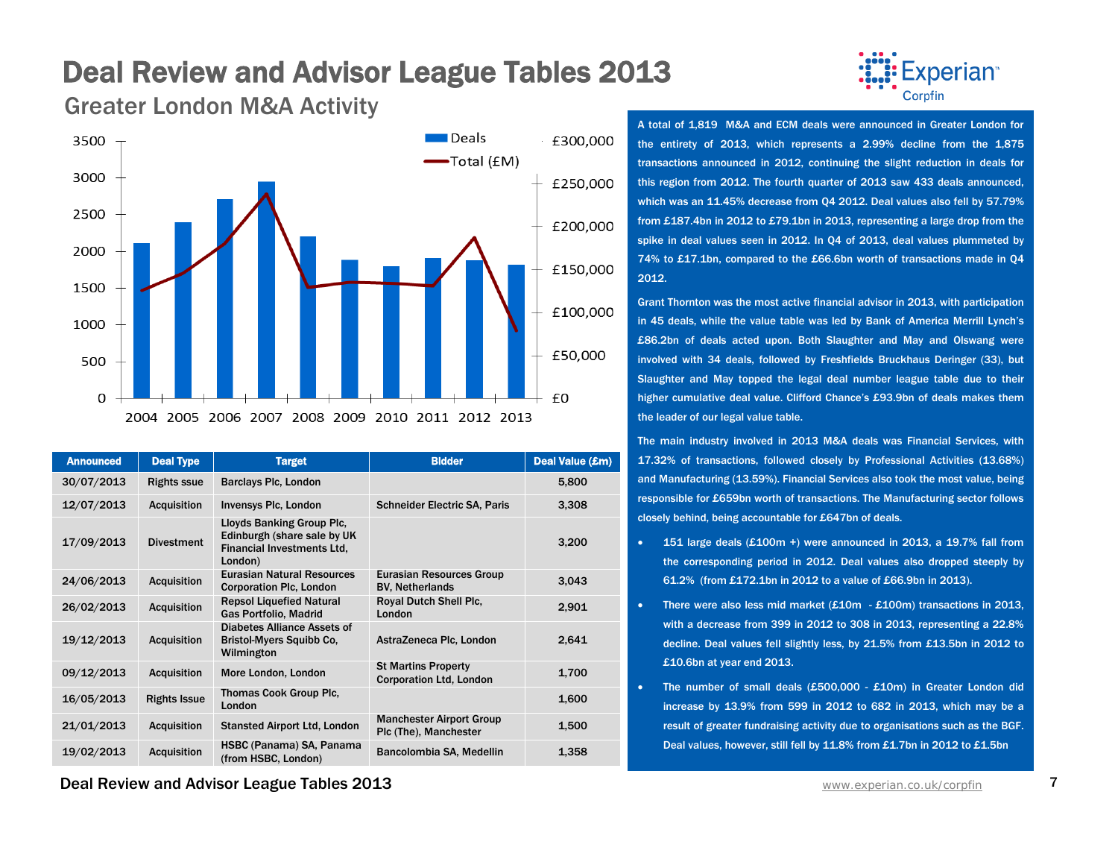

Greater London M&A Activity



| <b>Announced</b> | <b>Deal Type</b>    | <b>Target</b>                                                                                            | <b>Bidder</b>                                                | Deal Value (£m) |
|------------------|---------------------|----------------------------------------------------------------------------------------------------------|--------------------------------------------------------------|-----------------|
| 30/07/2013       | <b>Rights ssue</b>  | <b>Barclays Plc, London</b>                                                                              |                                                              | 5,800           |
| 12/07/2013       | <b>Acquisition</b>  | <b>Invensys PIc, London</b>                                                                              | <b>Schneider Electric SA, Paris</b>                          | 3,308           |
| 17/09/2013       | <b>Divestment</b>   | Lloyds Banking Group Plc,<br>Edinburgh (share sale by UK<br><b>Financial Investments Ltd.</b><br>London) |                                                              | 3,200           |
| 24/06/2013       | <b>Acquisition</b>  | <b>Eurasian Natural Resources</b><br><b>Corporation Plc, London</b>                                      | <b>Eurasian Resources Group</b><br><b>BV. Netherlands</b>    | 3,043           |
| 26/02/2013       | <b>Acquisition</b>  | <b>Repsol Liquefied Natural</b><br><b>Gas Portfolio, Madrid</b>                                          | Royal Dutch Shell Plc,<br>London                             | 2,901           |
| 19/12/2013       | <b>Acquisition</b>  | <b>Diabetes Alliance Assets of</b><br><b>Bristol-Myers Squibb Co.</b><br>Wilmington                      | AstraZeneca Plc, London                                      | 2,641           |
| 09/12/2013       | <b>Acquisition</b>  | More London, London                                                                                      | <b>St Martins Property</b><br><b>Corporation Ltd, London</b> | 1,700           |
| 16/05/2013       | <b>Rights Issue</b> | <b>Thomas Cook Group Plc.</b><br>London                                                                  |                                                              | 1,600           |
| 21/01/2013       | <b>Acquisition</b>  | <b>Stansted Airport Ltd, London</b>                                                                      | <b>Manchester Airport Group</b><br>Plc (The), Manchester     | 1,500           |
| 19/02/2013       | <b>Acquisition</b>  | HSBC (Panama) SA, Panama<br>(from HSBC, London)                                                          | Bancolombia SA, Medellin                                     | 1,358           |

A total of 1,819 M&A and ECM deals were announced in Greater London for the entirety of 2013, which represents a 2.99% decline from the 1,875 transactions announced in 2012, continuing the slight reduction in deals for this region from 2012. The fourth quarter of 2013 saw 433 deals announced, which was an 11.45% decrease from Q4 2012. Deal values also fell by 57.79% from £187.4bn in 2012 to £79.1bn in 2013, representing a large drop from the spike in deal values seen in 2012. In Q4 of 2013, deal values plummeted by 74% to £17.1bn, compared to the £66.6bn worth of transactions made in Q4 2012.

Grant Thornton was the most active financial advisor in 2013, with participation in 45 deals, while the value table was led by Bank of America Merrill Lynch's £86.2bn of deals acted upon. Both Slaughter and May and Olswang were involved with 34 deals, followed by Freshfields Bruckhaus Deringer (33), but Slaughter and May topped the legal deal number league table due to their higher cumulative deal value. Clifford Chance's £93.9bn of deals makes them the leader of our legal value table.

The main industry involved in 2013 M&A deals was Financial Services, with 17.32% of transactions, followed closely by Professional Activities (13.68%) and Manufacturing (13.59%). Financial Services also took the most value, being responsible for £659bn worth of transactions. The Manufacturing sector follows closely behind, being accountable for £647bn of deals.

- 151 large deals (£100m +) were announced in 2013, a 19.7% fall from the corresponding period in 2012. Deal values also dropped steeply by 61.2% (from £172.1bn in 2012 to a value of £66.9bn in 2013).
- There were also less mid market  $(E10m E100m)$  transactions in 2013. with a decrease from 399 in 2012 to 308 in 2013, representing a 22.8% decline. Deal values fell slightly less, by 21.5% from £13.5bn in 2012 to £10.6bn at year end 2013.
- The number of small deals (£500,000 £10m) in Greater London did increase by 13.9% from 599 in 2012 to 682 in 2013, which may be a result of greater fundraising activity due to organisations such as the BGF. Deal values, however, still fell by 11.8% from £1.7bn in 2012 to £1.5bn

**Deal Review and Advisor League Tables 2013** WWW. And Tables 2013 WWW.experian.co.uk/corpfin 7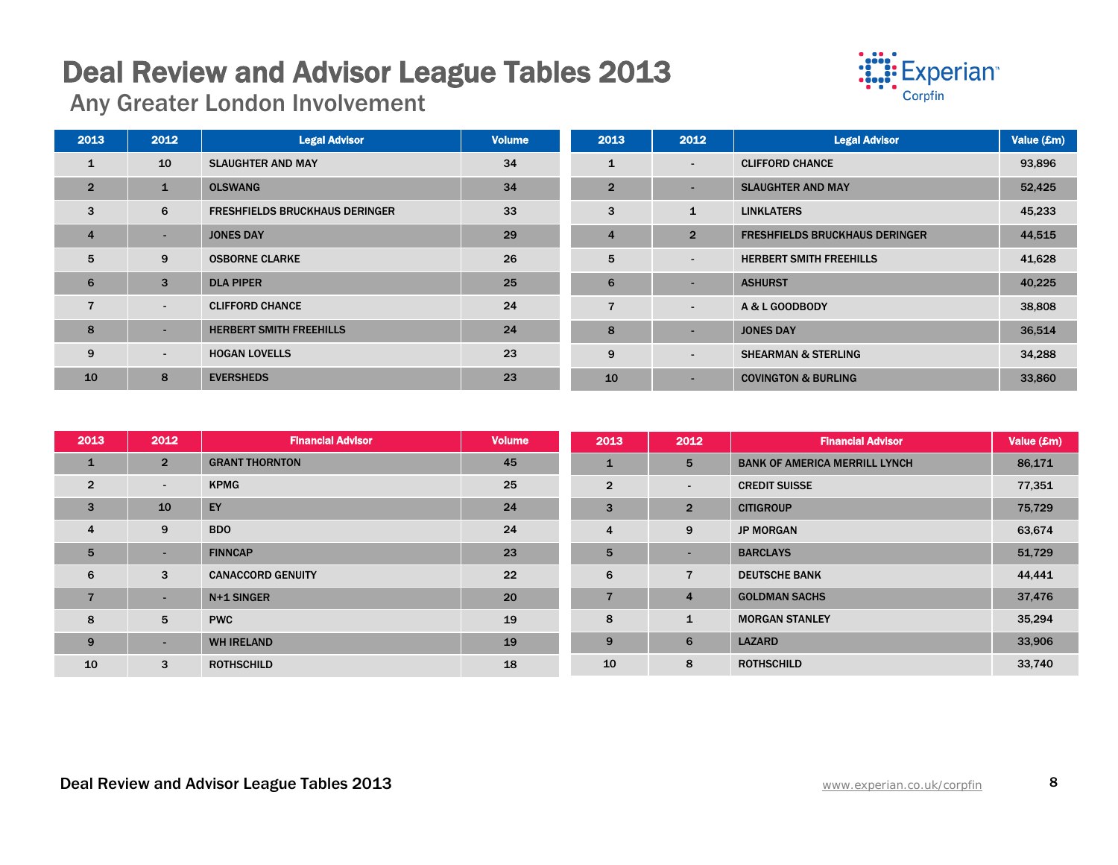# Deal Review and Advisor League Tables 2013 Any Greater London Involvement



| 2013           | 2012                     | <b>Legal Advisor</b>                  | <b>Volume</b> | 2013           | 2012                     | <b>Legal Advisor</b>                  | Value (£m) |
|----------------|--------------------------|---------------------------------------|---------------|----------------|--------------------------|---------------------------------------|------------|
| $\mathbf{1}$   | 10                       | <b>SLAUGHTER AND MAY</b>              | 34            | $\mathbf{1}$   | $\overline{\phantom{0}}$ | <b>CLIFFORD CHANCE</b>                | 93,896     |
| $\overline{2}$ | $\mathbf{1}$             | <b>OLSWANG</b>                        | 34            | $\overline{2}$ | $\overline{\phantom{0}}$ | <b>SLAUGHTER AND MAY</b>              | 52,425     |
| 3              | 6                        | <b>FRESHFIELDS BRUCKHAUS DERINGER</b> | 33            | 3              | $\mathbf{1}$             | <b>LINKLATERS</b>                     | 45,233     |
| $\overline{4}$ | ۰                        | <b>JONES DAY</b>                      | 29            | $\overline{4}$ | $\overline{2}$           | <b>FRESHFIELDS BRUCKHAUS DERINGER</b> | 44,515     |
| 5              | 9                        | <b>OSBORNE CLARKE</b>                 | 26            | 5              | $\overline{\phantom{a}}$ | <b>HERBERT SMITH FREEHILLS</b>        | 41,628     |
| 6              | 3                        | <b>DLA PIPER</b>                      | 25            | 6              | $\overline{\phantom{0}}$ | <b>ASHURST</b>                        | 40,225     |
| $\overline{7}$ | $\sim$                   | <b>CLIFFORD CHANCE</b>                | 24            | $\overline{7}$ | $\overline{\phantom{a}}$ | A & L GOODBODY                        | 38,808     |
| 8              | $\overline{\phantom{a}}$ | <b>HERBERT SMITH FREEHILLS</b>        | 24            | 8              | $\overline{\phantom{0}}$ | <b>JONES DAY</b>                      | 36,514     |
| 9              | $\blacksquare$           | <b>HOGAN LOVELLS</b>                  | 23            | 9              | $\overline{\phantom{a}}$ | <b>SHEARMAN &amp; STERLING</b>        | 34,288     |
| 10             | 8                        | <b>EVERSHEDS</b>                      | 23            | 10             | $\overline{\phantom{a}}$ | <b>COVINGTON &amp; BURLING</b>        | 33,860     |

| 2013           | 2012           | <b>Financial Advisor</b> | <b>Volume</b> | 2013           | 2012           | <b>Financial Advisor</b>             | Value (£m) |
|----------------|----------------|--------------------------|---------------|----------------|----------------|--------------------------------------|------------|
| $\mathbf{1}$   | $\overline{2}$ | <b>GRANT THORNTON</b>    | 45            | $\mathbf{1}$   | 5              | <b>BANK OF AMERICA MERRILL LYNCH</b> | 86,171     |
| $\overline{2}$ | $\sim$         | <b>KPMG</b>              | 25            | $\overline{2}$ | ٠              | <b>CREDIT SUISSE</b>                 | 77,351     |
| 3              | 10             | EY                       | 24            | 3              | $\overline{2}$ | <b>CITIGROUP</b>                     | 75,729     |
| 4              | 9              | <b>BDO</b>               | 24            | 4              | 9              | <b>JP MORGAN</b>                     | 63,674     |
| 5              | ۰.             | <b>FINNCAP</b>           | 23            | 5              | $\sim$         | <b>BARCLAYS</b>                      | 51,729     |
| 6              | 3              | <b>CANACCORD GENUITY</b> | 22            | 6              | $\overline{7}$ | <b>DEUTSCHE BANK</b>                 | 44,441     |
|                | ۰.             | N+1 SINGER               | 20            | $\overline{7}$ | $\overline{4}$ | <b>GOLDMAN SACHS</b>                 | 37,476     |
| 8              | 5              | <b>PWC</b>               | 19            | 8              | $\mathbf{1}$   | <b>MORGAN STANLEY</b>                | 35,294     |
| 9              | ۰.             | <b>WH IRELAND</b>        | 19            | 9              | 6              | <b>LAZARD</b>                        | 33,906     |
| 10             | 3              | <b>ROTHSCHILD</b>        | 18            | 10             | 8              | <b>ROTHSCHILD</b>                    | 33,740     |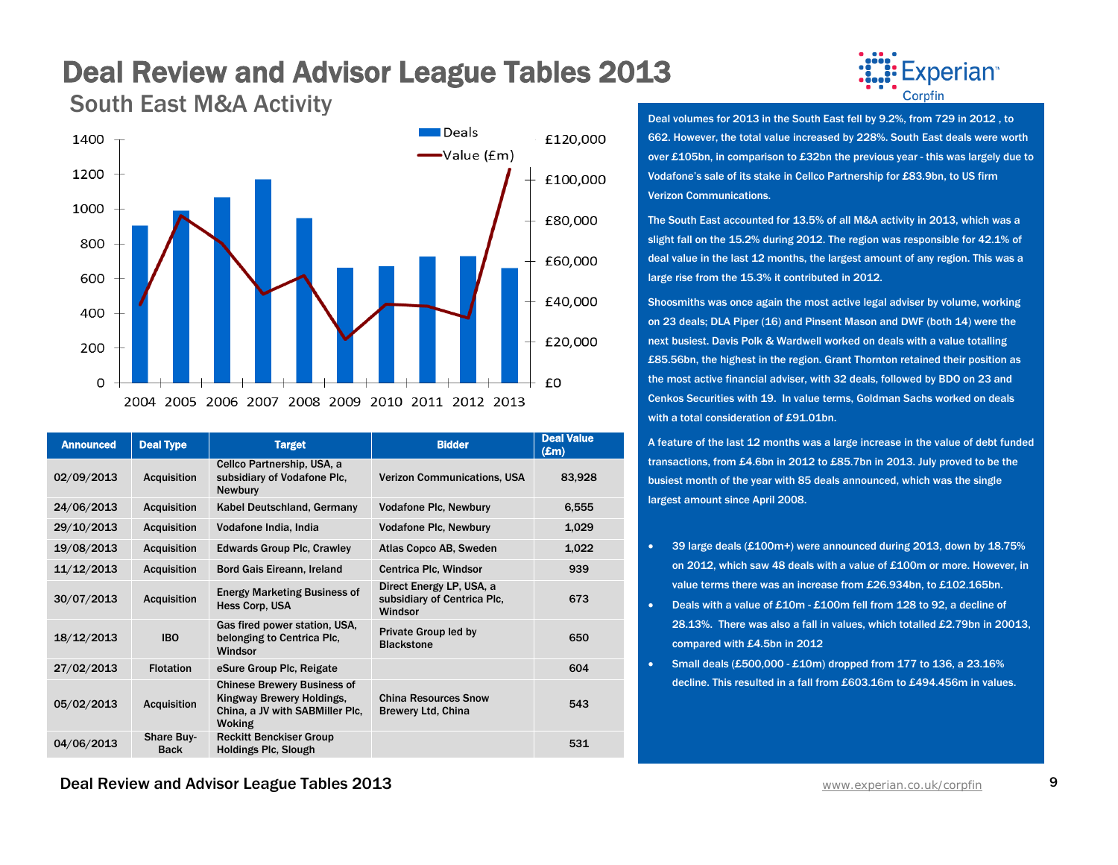### Deal Review and Advisor League Tables 2013<br>South East M&A Activity



| <b>Announced</b> | <b>Deal Type</b>                 | <b>Target</b>                                                                                                       | <b>Bidder</b>                                                      | <b>Deal Value</b><br>$(\mathbf{Em})$ |
|------------------|----------------------------------|---------------------------------------------------------------------------------------------------------------------|--------------------------------------------------------------------|--------------------------------------|
| 02/09/2013       | Acquisition                      | Cellco Partnership, USA, a<br>subsidiary of Vodafone Plc.<br><b>Newbury</b>                                         | <b>Verizon Communications, USA</b>                                 | 83,928                               |
| 24/06/2013       | <b>Acquisition</b>               | Kabel Deutschland, Germany                                                                                          | <b>Vodafone Plc, Newbury</b>                                       | 6,555                                |
| 29/10/2013       | <b>Acquisition</b>               | Vodafone India, India                                                                                               | <b>Vodafone Plc, Newbury</b>                                       | 1,029                                |
| 19/08/2013       | <b>Acquisition</b>               | <b>Edwards Group Plc, Crawley</b>                                                                                   | Atlas Copco AB, Sweden                                             | 1,022                                |
| 11/12/2013       | <b>Acquisition</b>               | Bord Gais Eireann, Ireland                                                                                          | Centrica Plc, Windsor                                              | 939                                  |
| 30/07/2013       | <b>Acquisition</b>               | <b>Energy Marketing Business of</b><br><b>Hess Corp. USA</b>                                                        | Direct Energy LP, USA, a<br>subsidiary of Centrica Plc,<br>Windsor | 673                                  |
| 18/12/2013       | <b>IBO</b>                       | Gas fired power station, USA,<br>belonging to Centrica Plc.<br>Windsor                                              | Private Group led by<br><b>Blackstone</b>                          | 650                                  |
| 27/02/2013       | <b>Flotation</b>                 | eSure Group Plc, Reigate                                                                                            |                                                                    | 604                                  |
| 05/02/2013       | <b>Acquisition</b>               | <b>Chinese Brewery Business of</b><br>Kingway Brewery Holdings,<br>China, a JV with SABMiller Plc,<br><b>Woking</b> | <b>China Resources Snow</b><br><b>Brewery Ltd, China</b>           | 543                                  |
| 04/06/2013       | <b>Share Buy-</b><br><b>Back</b> | <b>Reckitt Benckiser Group</b><br><b>Holdings Plc, Slough</b>                                                       |                                                                    | 531                                  |



Deal volumes for 2013 in the South East fell by 9.2%, from 729 in 2012 , to 662. However, the total value increased by 228%. South East deals were worth over £105bn, in comparison to £32bn the previous year - this was largely due to Vodafone's sale of its stake in Cellco Partnership for £83.9bn, to US firm Verizon Communications.

The South East accounted for 13.5% of all M&A activity in 2013, which was a slight fall on the 15.2% during 2012. The region was responsible for 42.1% of deal value in the last 12 months, the largest amount of any region. This was a large rise from the 15.3% it contributed in 2012.

Shoosmiths was once again the most active legal adviser by volume, working on 23 deals; DLA Piper (16) and Pinsent Mason and DWF (both 14) were the next busiest. Davis Polk & Wardwell worked on deals with a value totalling £85.56bn, the highest in the region. Grant Thornton retained their position as the most active financial adviser, with 32 deals, followed by BDO on 23 and Cenkos Securities with 19. In value terms, Goldman Sachs worked on deals with a total consideration of £91.01bn.

A feature of the last 12 months was a large increase in the value of debt funded transactions, from £4.6bn in 2012 to £85.7bn in 2013. July proved to be the busiest month of the year with 85 deals announced, which was the single largest amount since April 2008.

- 39 large deals (£100m+) were announced during 2013, down by 18.75% on 2012, which saw 48 deals with a value of £100m or more. However, in value terms there was an increase from £26.934bn, to £102.165bn.
- Deals with a value of £10m £100m fell from 128 to 92, a decline of 28.13%. There was also a fall in values, which totalled £2.79bn in 20013, compared with £4.5bn in 2012
- Small deals  $(E500,000 E10m)$  dropped from 177 to 136, a 23.16% decline. This resulted in a fall from £603.16m to £494.456m in values.

**Deal Review and Advisor League Tables 2013** WWW.Experian.co.uk/corpfin 9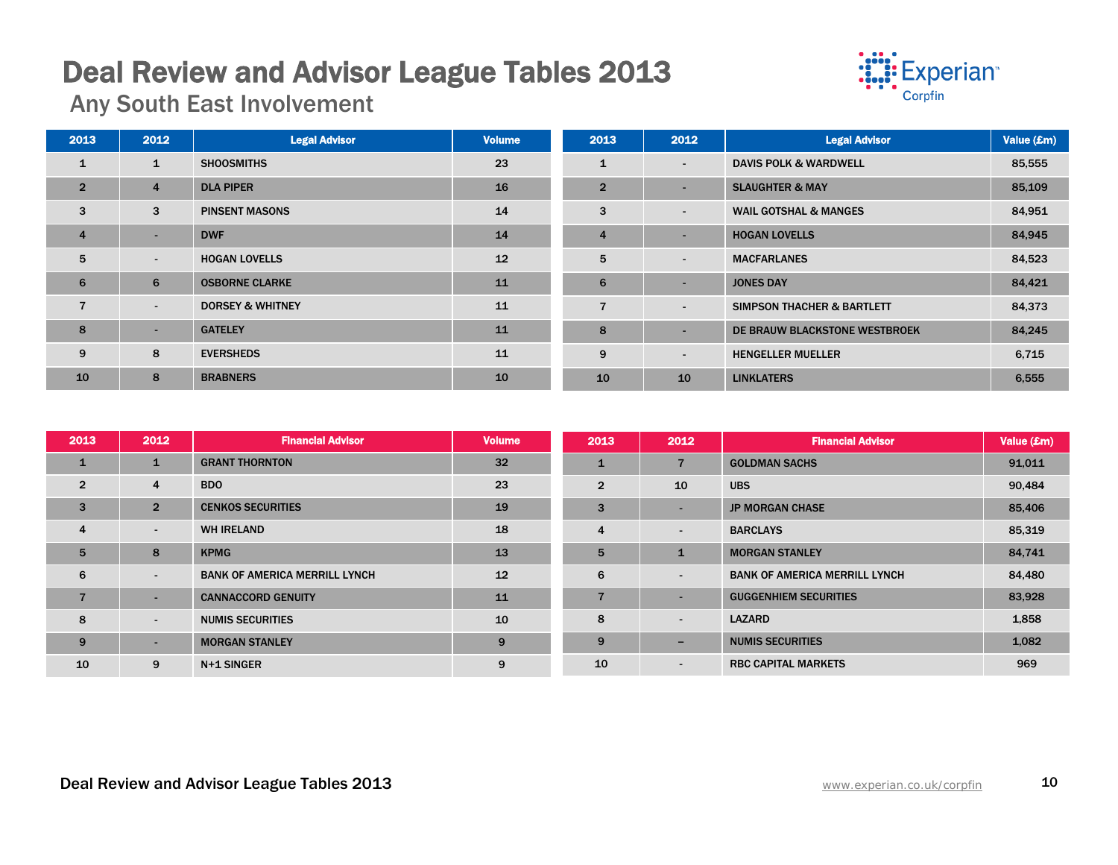# Deal Review and Advisor League Tables 2013 Any South East Involvement



| 2013           | 2012                     | <b>Legal Advisor</b>        | <b>Volume</b> | 2013           | 2012                     | <b>Legal Advisor</b>             | Value (£m) |
|----------------|--------------------------|-----------------------------|---------------|----------------|--------------------------|----------------------------------|------------|
| $\mathbf{1}$   | $\mathbf{1}$             | <b>SHOOSMITHS</b>           | 23            | $\mathbf{1}$   | $\overline{\phantom{a}}$ | <b>DAVIS POLK &amp; WARDWELL</b> | 85,555     |
| $\overline{2}$ | $\overline{4}$           | <b>DLA PIPER</b>            | 16            | $\overline{2}$ | $\overline{\phantom{a}}$ | <b>SLAUGHTER &amp; MAY</b>       | 85,109     |
| 3              | 3                        | <b>PINSENT MASONS</b>       | 14            | 3              | $\overline{\phantom{a}}$ | <b>WAIL GOTSHAL &amp; MANGES</b> | 84,951     |
| $\overline{4}$ | ٠                        | <b>DWF</b>                  | 14            | $\overline{4}$ | $\overline{\phantom{a}}$ | <b>HOGAN LOVELLS</b>             | 84,945     |
| 5              | $\sim$                   | <b>HOGAN LOVELLS</b>        | 12            | 5              | $\overline{\phantom{a}}$ | <b>MACFARLANES</b>               | 84,523     |
| 6              | 6                        | <b>OSBORNE CLARKE</b>       | 11            | 6              | $\overline{\phantom{a}}$ | <b>JONES DAY</b>                 | 84,421     |
| $\overline{7}$ | $\overline{\phantom{a}}$ | <b>DORSEY &amp; WHITNEY</b> | 11            | 7              | $\overline{\phantom{a}}$ | SIMPSON THACHER & BARTLETT       | 84,373     |
| 8              | ٠                        | <b>GATELEY</b>              | 11            | 8              | $\overline{\phantom{a}}$ | DE BRAUW BLACKSTONE WESTBROEK    | 84,245     |
| 9              | 8                        | <b>EVERSHEDS</b>            | 11            | 9              | $\overline{\phantom{a}}$ | <b>HENGELLER MUELLER</b>         | 6,715      |
| 10             | 8                        | <b>BRABNERS</b>             | 10            | 10             | 10                       | <b>LINKLATERS</b>                | 6,555      |

| 2013           | 2012                     | <b>Financial Advisor</b>             | <b>Volume</b> | 2013           | 2012                     | <b>Financial Advisor</b>             | Value (£m) |
|----------------|--------------------------|--------------------------------------|---------------|----------------|--------------------------|--------------------------------------|------------|
| $\mathbf{1}$   |                          | <b>GRANT THORNTON</b>                | 32            | $\mathbf{1}$   | $\overline{7}$           | <b>GOLDMAN SACHS</b>                 | 91,011     |
| $\overline{2}$ | 4                        | <b>BDO</b>                           | 23            | $\overline{2}$ | 10                       | <b>UBS</b>                           | 90,484     |
| 3              | $\overline{2}$           | <b>CENKOS SECURITIES</b>             | 19            | 3              | $\overline{\phantom{a}}$ | <b>JP MORGAN CHASE</b>               | 85,406     |
| $\overline{4}$ | $\overline{\phantom{a}}$ | <b>WH IRELAND</b>                    | 18            | $\overline{4}$ | $\sim$                   | <b>BARCLAYS</b>                      | 85,319     |
| 5              | 8                        | <b>KPMG</b>                          | 13            | 5              | $\mathbf{1}$             | <b>MORGAN STANLEY</b>                | 84,741     |
| 6              | $\sim$                   | <b>BANK OF AMERICA MERRILL LYNCH</b> | 12            | 6              | $\sim$                   | <b>BANK OF AMERICA MERRILL LYNCH</b> | 84,480     |
| 7              | ۰.                       | <b>CANNACCORD GENUITY</b>            | 11            | 7              | $\sim$                   | <b>GUGGENHIEM SECURITIES</b>         | 83,928     |
| 8              | $\blacksquare$           | <b>NUMIS SECURITIES</b>              | 10            | 8              | $\sim$                   | <b>LAZARD</b>                        | 1,858      |
| 9              |                          | <b>MORGAN STANLEY</b>                | 9             | 9              | $\overline{\phantom{a}}$ | <b>NUMIS SECURITIES</b>              | 1,082      |
| 10             | 9                        | N+1 SINGER                           | 9             | 10             | $\sim$                   | <b>RBC CAPITAL MARKETS</b>           | 969        |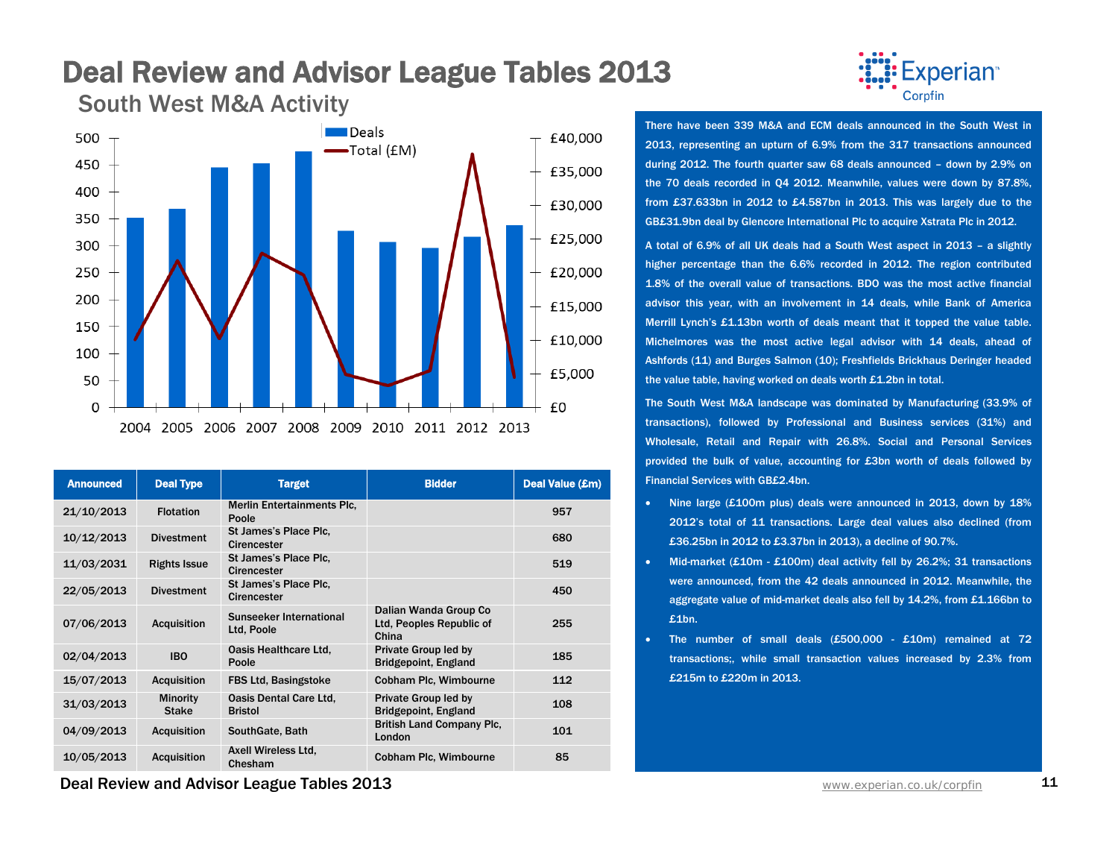### Deal Review and Advisor League Tables 2013<br>South West M&A Activity

**Deals** 500 £40,000 -Total (£M) 450 £35,000 400 £30,000 350 £25,000 300 250 £20,000 200 £15,000 150 £10,000 100 £5,000 50  $\Omega$ £0 2004 2005 2006 2007 2008 2009 2010 2011 2012 2013

| <b>Announced</b> | <b>Deal Type</b>                | <b>Target</b>                               | <b>Bidder</b>                                              | Deal Value (£m) |
|------------------|---------------------------------|---------------------------------------------|------------------------------------------------------------|-----------------|
| 21/10/2013       | <b>Flotation</b>                | <b>Merlin Entertainments Plc.</b><br>Poole  |                                                            | 957             |
| 10/12/2013       | <b>Divestment</b>               | St James's Place Plc.<br><b>Cirencester</b> |                                                            | 680             |
| 11/03/2031       | <b>Rights Issue</b>             | St James's Place Plc.<br>Cirencester        |                                                            | 519             |
| 22/05/2013       | <b>Divestment</b>               | St James's Place Plc.<br><b>Cirencester</b> |                                                            | 450             |
| 07/06/2013       | <b>Acquisition</b>              | Sunseeker International<br>Ltd. Poole       | Dalian Wanda Group Co<br>Ltd, Peoples Republic of<br>China | 255             |
| 02/04/2013       | <b>IBO</b>                      | Oasis Healthcare Ltd,<br>Poole              | Private Group led by<br><b>Bridgepoint, England</b>        | 185             |
| 15/07/2013       | <b>Acquisition</b>              | <b>FBS Ltd. Basingstoke</b>                 | Cobham Plc, Wimbourne                                      | 112             |
| 31/03/2013       | <b>Minority</b><br><b>Stake</b> | Oasis Dental Care Ltd.<br><b>Bristol</b>    | Private Group led by<br><b>Bridgepoint, England</b>        | 108             |
| 04/09/2013       | <b>Acquisition</b>              | SouthGate, Bath                             | <b>British Land Company Plc.</b><br>London                 | 101             |
| 10/05/2013       | <b>Acquisition</b>              | Axell Wireless Ltd.<br>Chesham              | Cobham Plc, Wimbourne                                      | 85              |

Experian<sup>®</sup> Corpfin

There have been 339 M&A and ECM deals announced in the South West in 2013, representing an upturn of 6.9% from the 317 transactions announced during 2012. The fourth quarter saw 68 deals announced – down by 2.9% on the 70 deals recorded in Q4 2012. Meanwhile, values were down by 87.8%, from £37.633bn in 2012 to £4.587bn in 2013. This was largely due to the GB£31.9bn deal by Glencore International Plc to acquire Xstrata Plc in 2012.

A total of 6.9% of all UK deals had a South West aspect in 2013 – a slightly higher percentage than the 6.6% recorded in 2012. The region contributed 1.8% of the overall value of transactions. BDO was the most active financial advisor this year, with an involvement in 14 deals, while Bank of America Merrill Lynch's £1.13bn worth of deals meant that it topped the value table. Michelmores was the most active legal advisor with 14 deals, ahead of Ashfords (11) and Burges Salmon (10); Freshfields Brickhaus Deringer headed the value table, having worked on deals worth £1.2bn in total.

The South West M&A landscape was dominated by Manufacturing (33.9% of transactions), followed by Professional and Business services (31%) and Wholesale, Retail and Repair with 26.8%. Social and Personal Services provided the bulk of value, accounting for £3bn worth of deals followed by Financial Services with GB£2.4bn.

- Nine large (£100m plus) deals were announced in 2013, down by 18% 2012's total of 11 transactions. Large deal values also declined (from £36.25bn in 2012 to £3.37bn in 2013), a decline of 90.7%.
- Mid-market (£10m £100m) deal activity fell by 26.2%; 31 transactions were announced, from the 42 deals announced in 2012. Meanwhile, the aggregate value of mid-market deals also fell by 14.2%, from £1.166bn to £1bn.
- The number of small deals (£500,000 £10m) remained at 72 transactions;, while small transaction values increased by 2.3% from £215m to £220m in 2013.

**Deal Review and Advisor League Tables 2013** WWW. And The Manuscription Co.uk/corpfin 11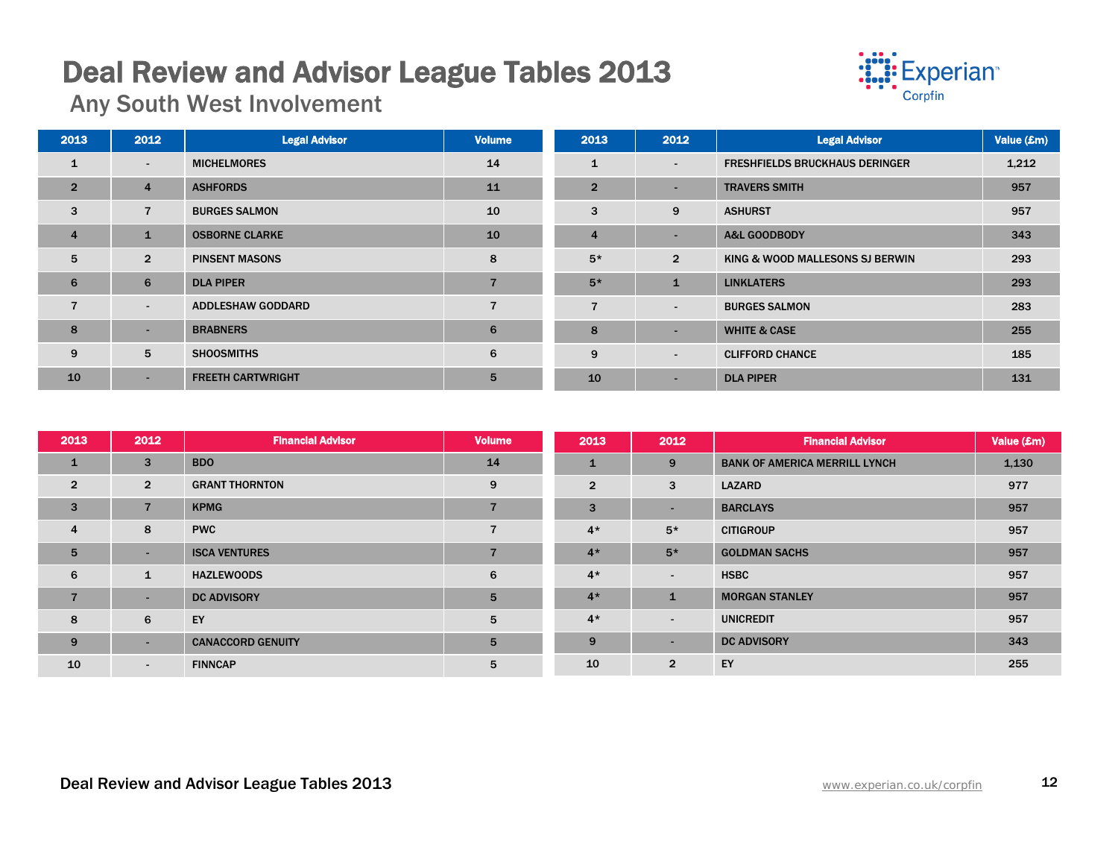# Deal Review and Advisor League Tables 2013 Any South West Involvement



| 2013           | 2012           | <b>Legal Advisor</b>     | <b>Volume</b>  | 2013           | 2012                     | <b>Legal Advisor</b>                  | Value (£m) |
|----------------|----------------|--------------------------|----------------|----------------|--------------------------|---------------------------------------|------------|
| 1              | $\sim$         | <b>MICHELMORES</b>       | 14             | 1              | $\overline{\phantom{a}}$ | <b>FRESHFIELDS BRUCKHAUS DERINGER</b> | 1,212      |
| $\overline{2}$ | $\overline{4}$ | <b>ASHFORDS</b>          | 11             | $\overline{2}$ | -                        | <b>TRAVERS SMITH</b>                  | 957        |
| 3              | $\overline{7}$ | <b>BURGES SALMON</b>     | 10             | 3              | 9                        | <b>ASHURST</b>                        | 957        |
| $\overline{4}$ |                | <b>OSBORNE CLARKE</b>    | 10             | $\overline{4}$ | $\sim$                   | <b>A&amp;L GOODBODY</b>               | 343        |
| 5              | $\overline{2}$ | <b>PINSENT MASONS</b>    | 8              | $5*$           | $\overline{2}$           | KING & WOOD MALLESONS SJ BERWIN       | 293        |
| 6              | 6              | <b>DLA PIPER</b>         |                | $5*$           | $\mathbf{1}$             | <b>LINKLATERS</b>                     | 293        |
| $\overline{7}$ | $\sim$         | <b>ADDLESHAW GODDARD</b> | $\overline{7}$ | $\overline{7}$ | $\overline{\phantom{0}}$ | <b>BURGES SALMON</b>                  | 283        |
| 8              | $\sim$         | <b>BRABNERS</b>          | 6              | 8              | $\overline{\phantom{a}}$ | <b>WHITE &amp; CASE</b>               | 255        |
| 9              | 5              | <b>SHOOSMITHS</b>        | 6              | 9              | $\overline{\phantom{a}}$ | <b>CLIFFORD CHANCE</b>                | 185        |
| 10             | ۰.             | <b>FREETH CARTWRIGHT</b> | 5              | 10             | $\sim$                   | <b>DLA PIPER</b>                      | 131        |

| 2013            | 2012           | <b>Financial Advisor</b> | <b>Volume</b>  | 2013           | 2012           | <b>Financial Advisor</b>             | Value (£m) |
|-----------------|----------------|--------------------------|----------------|----------------|----------------|--------------------------------------|------------|
| $\mathbf{1}$    | 3              | <b>BDO</b>               | 14             | $\mathbf{1}$   | 9              | <b>BANK OF AMERICA MERRILL LYNCH</b> | 1,130      |
| $\overline{2}$  | $\overline{2}$ | <b>GRANT THORNTON</b>    | 9              | $\overline{2}$ | 3              | <b>LAZARD</b>                        | 977        |
| 3               | $\overline{7}$ | <b>KPMG</b>              | $\overline{7}$ | 3              | ٠              | <b>BARCLAYS</b>                      | 957        |
| $\overline{4}$  | 8              | <b>PWC</b>               |                | $4*$           | $5*$           | <b>CITIGROUP</b>                     | 957        |
| $5\overline{5}$ | $\sim$         | <b>ISCA VENTURES</b>     | $\overline{z}$ | $4*$           | $5*$           | <b>GOLDMAN SACHS</b>                 | 957        |
| 6               | 1              | <b>HAZLEWOODS</b>        | 6              | $4*$           | $\sim$         | <b>HSBC</b>                          | 957        |
| $\overline{7}$  | $\sim$         | <b>DC ADVISORY</b>       | $5\phantom{1}$ | $4*$           | $\mathbf{1}$   | <b>MORGAN STANLEY</b>                | 957        |
| 8               | 6              | EY                       | 5              | $4*$           | ٠              | <b>UNICREDIT</b>                     | 957        |
| 9               | $\sim$         | <b>CANACCORD GENUITY</b> | 5              | 9              | ٠              | <b>DC ADVISORY</b>                   | 343        |
| 10              | $\sim$         | <b>FINNCAP</b>           | 5              | 10             | $\overline{2}$ | EY                                   | 255        |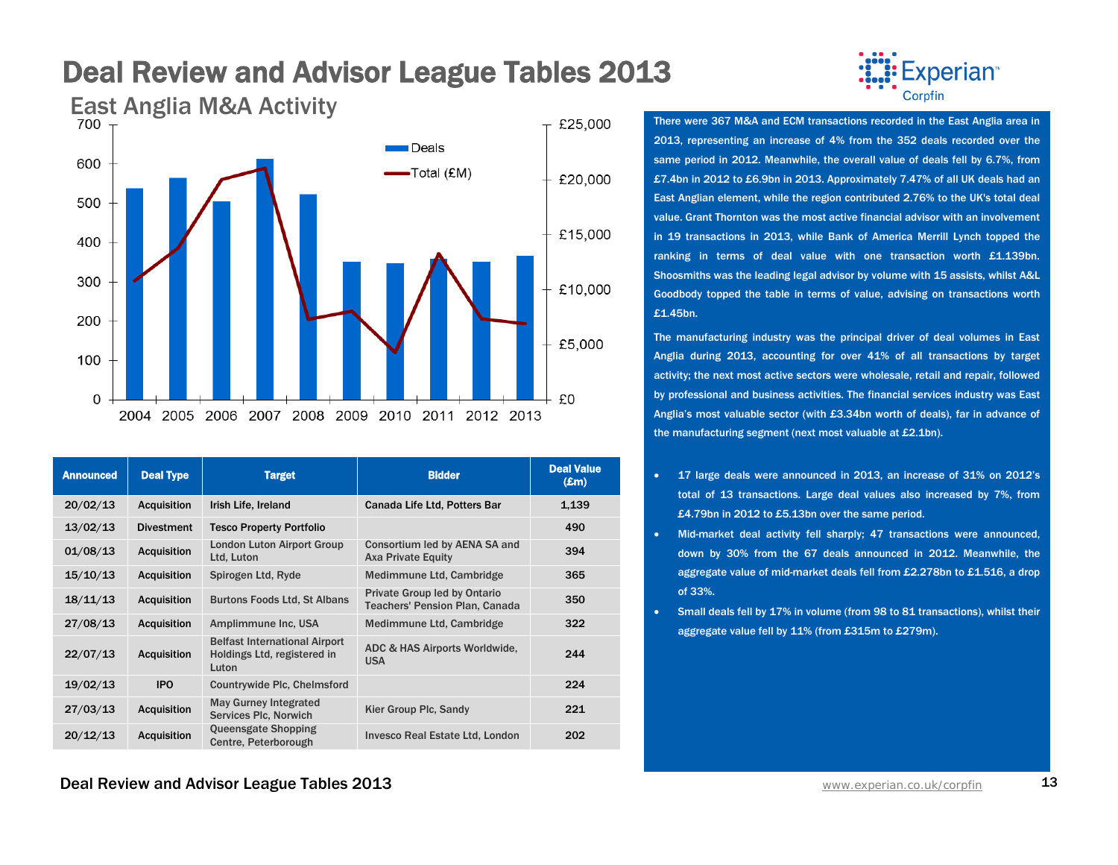

| <b>Announced</b> | <b>Deal Type</b>   | <b>Target</b>                                                                | <b>Bidder</b>                                                                | <b>Deal Value</b><br>$(\pmb{\pounds} \mathbf{m})$ |
|------------------|--------------------|------------------------------------------------------------------------------|------------------------------------------------------------------------------|---------------------------------------------------|
| 20/02/13         | <b>Acquisition</b> | Irish Life, Ireland                                                          | Canada Life Ltd, Potters Bar                                                 | 1,139                                             |
| 13/02/13         | <b>Divestment</b>  | <b>Tesco Property Portfolio</b>                                              |                                                                              | 490                                               |
| 01/08/13         | <b>Acquisition</b> | <b>London Luton Airport Group</b><br>Ltd, Luton                              | Consortium led by AENA SA and<br><b>Axa Private Equity</b>                   | 394                                               |
| 15/10/13         | <b>Acquisition</b> | Spirogen Ltd, Ryde                                                           | Medimmune Ltd, Cambridge                                                     | 365                                               |
| 18/11/13         | <b>Acquisition</b> | <b>Burtons Foods Ltd, St Albans</b>                                          | <b>Private Group led by Ontario</b><br><b>Teachers' Pension Plan, Canada</b> | 350                                               |
| 27/08/13         | <b>Acquisition</b> | Amplimmune Inc. USA                                                          | Medimmune Ltd, Cambridge                                                     | 322                                               |
| 22/07/13         | <b>Acquisition</b> | <b>Belfast International Airport</b><br>Holdings Ltd, registered in<br>Luton | ADC & HAS Airports Worldwide,<br><b>USA</b>                                  | 244                                               |
| 19/02/13         | <b>IPO</b>         | Countrywide Plc, Chelmsford                                                  |                                                                              | 224                                               |
| 27/03/13         | <b>Acquisition</b> | <b>May Gurney Integrated</b><br>Services Plc, Norwich                        | Kier Group Plc, Sandy                                                        | 221                                               |
| 20/12/13         | <b>Acquisition</b> | <b>Queensgate Shopping</b><br>Centre, Peterborough                           | <b>Invesco Real Estate Ltd, London</b>                                       | 202                                               |



2013, representing an increase of 4% from the 352 deals recorded over the same period in 2012. Meanwhile, the overall value of deals fell by 6.7%, from £7.4bn in 2012 to £6.9bn in 2013. Approximately 7.47% of all UK deals had an East Anglian element, while the region contributed 2.76% to the UK's total deal value. Grant Thornton was the most active financial advisor with an involvement in 19 transactions in 2013, while Bank of America Merrill Lynch topped the ranking in terms of deal value with one transaction worth £1.139bn. Shoosmiths was the leading legal advisor by volume with 15 assists, whilst A&L Goodbody topped the table in terms of value, advising on transactions worth £1.45bn.

The manufacturing industry was the principal driver of deal volumes in East Anglia during 2013, accounting for over 41% of all transactions by target activity; the next most active sectors were wholesale, retail and repair, followed by professional and business activities. The financial services industry was East Anglia's most valuable sector (with £3.34bn worth of deals), far in advance of the manufacturing segment (next most valuable at £2.1bn).

- 17 large deals were announced in 2013, an increase of 31% on 2012's total of 13 transactions. Large deal values also increased by 7%, from £4.79bn in 2012 to £5.13bn over the same period.
- Mid-market deal activity fell sharply; 47 transactions were announced, down by 30% from the 67 deals announced in 2012. Meanwhile, the aggregate value of mid-market deals fell from £2.278bn to £1.516, a drop of 33%.
- Small deals fell by 17% in volume (from 98 to 81 transactions), whilst their aggregate value fell by 11% (from £315m to £279m).

**Deal Review and Advisor League Tables 2013** WWW. And The Manuscription Co.uk/corpfin 13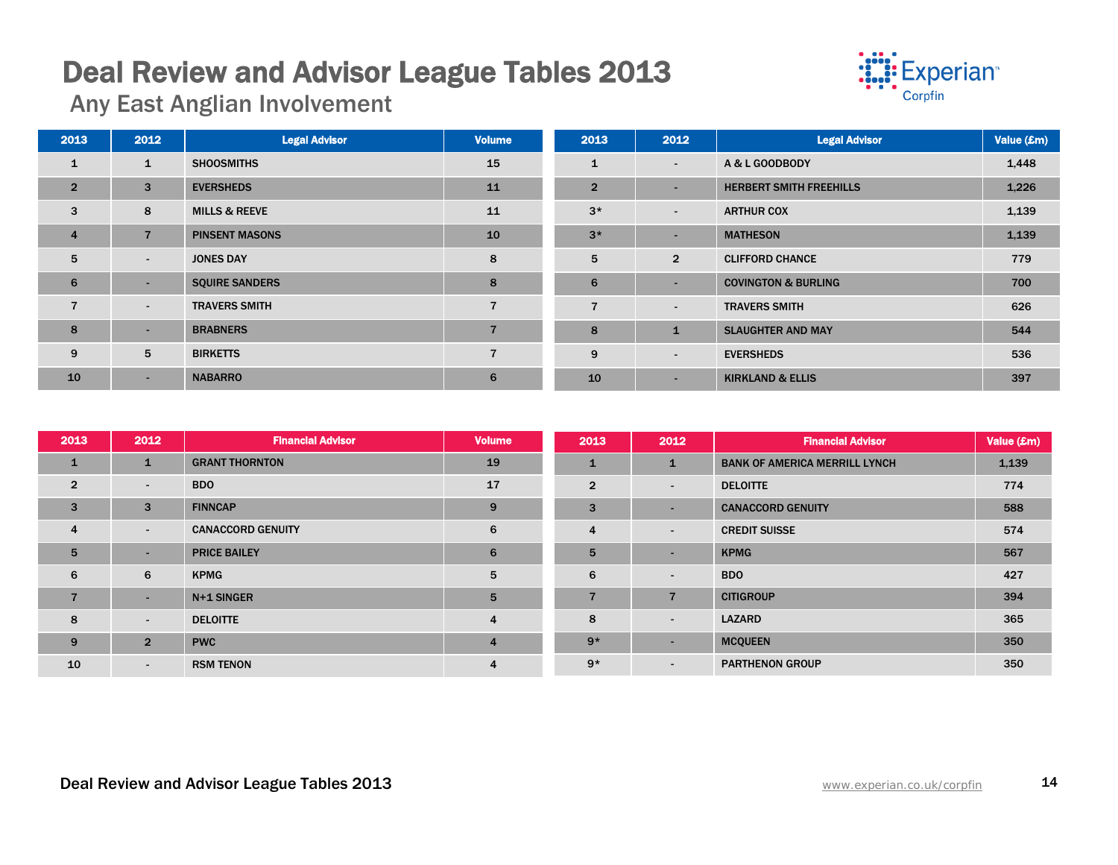# Deal Review and Advisor League Tables 2013 Any East Anglian Involvement



| 2013           | 2012                     | <b>Legal Advisor</b>     | <b>Volume</b>  | 2013           | 2012                     | <b>Legal Advisor</b>           | Value (£m) |
|----------------|--------------------------|--------------------------|----------------|----------------|--------------------------|--------------------------------|------------|
| $\mathbf{1}$   | $\mathbf{1}$             | <b>SHOOSMITHS</b>        | 15             | 1              | $\overline{\phantom{a}}$ | A & L GOODBODY                 | 1,448      |
| $\overline{2}$ | 3                        | <b>EVERSHEDS</b>         | 11             | $\overline{2}$ | $\overline{\phantom{a}}$ | <b>HERBERT SMITH FREEHILLS</b> | 1,226      |
| 3              | 8                        | <b>MILLS &amp; REEVE</b> | 11             | $3*$           | $\overline{\phantom{a}}$ | <b>ARTHUR COX</b>              | 1,139      |
| $\overline{4}$ | $\overline{7}$           | <b>PINSENT MASONS</b>    | 10             | $3*$           | ٠                        | <b>MATHESON</b>                | 1,139      |
| 5              | $\sim$                   | <b>JONES DAY</b>         | 8              | 5              | $\overline{2}$           | <b>CLIFFORD CHANCE</b>         | 779        |
| 6              | $\overline{\phantom{a}}$ | <b>SQUIRE SANDERS</b>    | 8              | 6              | -                        | <b>COVINGTON &amp; BURLING</b> | 700        |
| $\overline{7}$ | $\sim$                   | <b>TRAVERS SMITH</b>     | $\overline{ }$ | $\overline{7}$ | $\overline{\phantom{a}}$ | <b>TRAVERS SMITH</b>           | 626        |
| 8              | $\overline{\phantom{a}}$ | <b>BRABNERS</b>          |                | 8              | $\mathbf{1}$             | <b>SLAUGHTER AND MAY</b>       | 544        |
| 9              | 5                        | <b>BIRKETTS</b>          | $\overline{7}$ | 9              | $\overline{\phantom{a}}$ | <b>EVERSHEDS</b>               | 536        |
| 10             | ۰.                       | <b>NABARRO</b>           | 6              | 10             | $\overline{\phantom{0}}$ | <b>KIRKLAND &amp; ELLIS</b>    | 397        |

| 2013            | 2012           | <b>Financial Advisor</b> | <b>Volume</b>  | 2013           | 2012                     | <b>Financial Advisor</b>             | Value (£m) |
|-----------------|----------------|--------------------------|----------------|----------------|--------------------------|--------------------------------------|------------|
| $\mathbf{1}$    | $\mathbf{1}$   | <b>GRANT THORNTON</b>    | 19             | $\mathbf{1}$   | $\mathbf{1}$             | <b>BANK OF AMERICA MERRILL LYNCH</b> | 1,139      |
| $\overline{2}$  | $\blacksquare$ | <b>BDO</b>               | 17             | $\overline{2}$ | $\overline{\phantom{a}}$ | <b>DELOITTE</b>                      | 774        |
| 3               | 3              | <b>FINNCAP</b>           | 9              | 3              |                          | <b>CANACCORD GENUITY</b>             | 588        |
| $\overline{4}$  | $\sim$         | <b>CANACCORD GENUITY</b> | 6              | 4              | $\overline{a}$           | <b>CREDIT SUISSE</b>                 | 574        |
| $5\overline{5}$ | н.             | <b>PRICE BAILEY</b>      | 6              | 5              | $\sim$                   | <b>KPMG</b>                          | 567        |
| 6               | 6              | <b>KPMG</b>              | 5              | 6              | $\overline{\phantom{a}}$ | <b>BDO</b>                           | 427        |
| 7               | н.             | N+1 SINGER               | 5              | $\overline{7}$ | $\overline{7}$           | <b>CITIGROUP</b>                     | 394        |
| 8               | $\sim$         | <b>DELOITTE</b>          | 4              | 8              | $\overline{\phantom{a}}$ | <b>LAZARD</b>                        | 365        |
| 9               | $\overline{2}$ | <b>PWC</b>               | $\overline{4}$ | $9*$           | <b>.</b>                 | <b>MCQUEEN</b>                       | 350        |
| 10              | $\sim$         | <b>RSM TENON</b>         | 4              | $9*$           | $\overline{\phantom{a}}$ | <b>PARTHENON GROUP</b>               | 350        |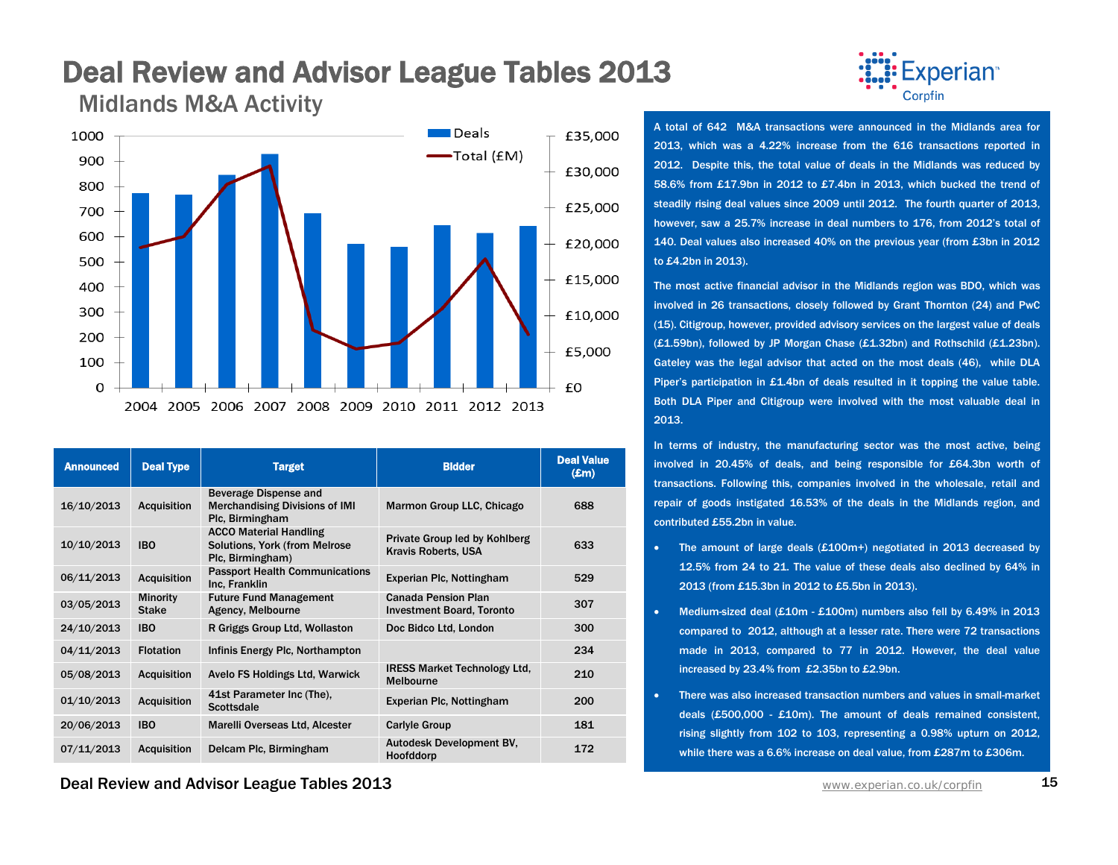### Deal Review and Advisor League Tables 2013 Midlands M&A Activity



| <b>Announced</b> | <b>Deal Type</b>                | <b>Target</b>                                                                      | <b>Bidder</b>                                                  | <b>Deal Value</b><br>$(\pmb{\pounds} \mathbf{m})$ |
|------------------|---------------------------------|------------------------------------------------------------------------------------|----------------------------------------------------------------|---------------------------------------------------|
| 16/10/2013       | <b>Acquisition</b>              | Beverage Dispense and<br><b>Merchandising Divisions of IMI</b><br>Plc, Birmingham  | Marmon Group LLC, Chicago                                      | 688                                               |
| 10/10/2013       | <b>IBO</b>                      | <b>ACCO Material Handling</b><br>Solutions, York (from Melrose<br>Plc, Birmingham) | Private Group led by Kohlberg<br><b>Kravis Roberts, USA</b>    | 633                                               |
| 06/11/2013       | <b>Acquisition</b>              | <b>Passport Health Communications</b><br>Inc. Franklin                             | Experian Plc, Nottingham                                       | 529                                               |
| 03/05/2013       | <b>Minority</b><br><b>Stake</b> | <b>Future Fund Management</b><br>Agency, Melbourne                                 | <b>Canada Pension Plan</b><br><b>Investment Board, Toronto</b> | 307                                               |
| 24/10/2013       | <b>IBO</b>                      | R Griggs Group Ltd, Wollaston                                                      | Doc Bidco Ltd, London                                          | 300                                               |
| 04/11/2013       | <b>Flotation</b>                | Infinis Energy Plc, Northampton                                                    |                                                                | 234                                               |
| 05/08/2013       | <b>Acquisition</b>              | Avelo FS Holdings Ltd, Warwick                                                     | <b>IRESS Market Technology Ltd.</b><br><b>Melbourne</b>        | 210                                               |
| 01/10/2013       | <b>Acquisition</b>              | 41st Parameter Inc (The).<br><b>Scottsdale</b>                                     | Experian Plc, Nottingham                                       | 200                                               |
| 20/06/2013       | <b>IBO</b>                      | Marelli Overseas Ltd, Alcester                                                     | <b>Carlyle Group</b>                                           | 181                                               |
| 07/11/2013       | <b>Acquisition</b>              | Delcam Plc, Birmingham                                                             | Autodesk Development BV,<br>Hoofddorp                          | 172                                               |

**Deal Review and Advisor League Tables 2013** WWW. And The Manuscription Co.uk/corpfin 15



A total of 642 M&A transactions were announced in the Midlands area for 2013, which was a 4.22% increase from the 616 transactions reported in 2012. Despite this, the total value of deals in the Midlands was reduced by 58.6% from £17.9bn in 2012 to £7.4bn in 2013, which bucked the trend of steadily rising deal values since 2009 until 2012. The fourth quarter of 2013, however, saw a 25.7% increase in deal numbers to 176, from 2012's total of 140. Deal values also increased 40% on the previous year (from £3bn in 2012 to £4.2bn in 2013).

The most active financial advisor in the Midlands region was BDO, which was involved in 26 transactions, closely followed by Grant Thornton (24) and PwC (15). Citigroup, however, provided advisory services on the largest value of deals (£1.59bn), followed by JP Morgan Chase (£1.32bn) and Rothschild (£1.23bn). Gateley was the legal advisor that acted on the most deals (46), while DLA Piper's participation in £1.4bn of deals resulted in it topping the value table. Both DLA Piper and Citigroup were involved with the most valuable deal in 2013.

In terms of industry, the manufacturing sector was the most active, being involved in 20.45% of deals, and being responsible for £64.3bn worth of transactions. Following this, companies involved in the wholesale, retail and repair of goods instigated 16.53% of the deals in the Midlands region, and contributed £55.2bn in value.

- The amount of large deals (£100m+) negotiated in 2013 decreased by 12.5% from 24 to 21. The value of these deals also declined by 64% in 2013 (from £15.3bn in 2012 to £5.5bn in 2013).
- Medium-sized deal (£10m £100m) numbers also fell by 6.49% in 2013 compared to 2012, although at a lesser rate. There were 72 transactions made in 2013, compared to 77 in 2012. However, the deal value increased by 23.4% from £2.35bn to £2.9bn.
- There was also increased transaction numbers and values in small-market deals (£500,000 - £10m). The amount of deals remained consistent, rising slightly from 102 to 103, representing a 0.98% upturn on 2012, while there was a 6.6% increase on deal value, from £287m to £306m.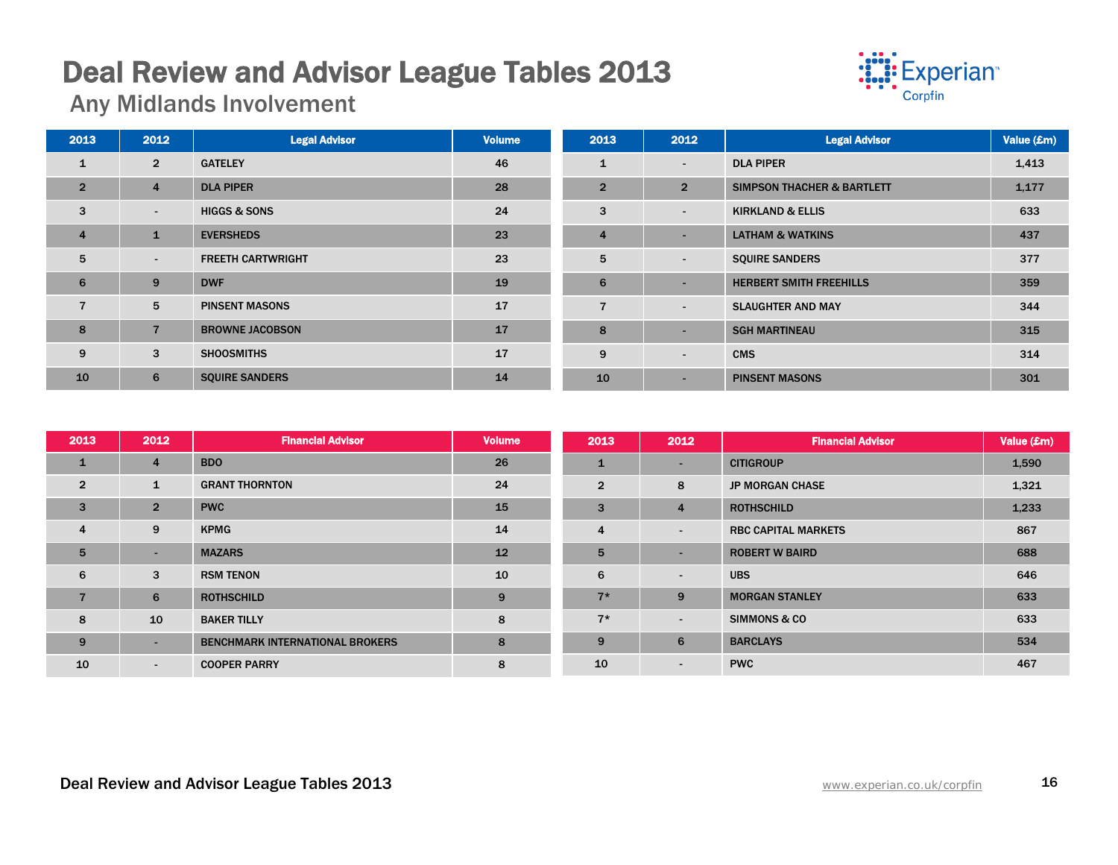# Deal Review and Advisor League Tables 2013 Any Midlands Involvement



| 2013           | 2012           | <b>Legal Advisor</b>     | <b>Volume</b> | 2013           | 2012                     | <b>Legal Advisor</b>                  | Value (£m) |
|----------------|----------------|--------------------------|---------------|----------------|--------------------------|---------------------------------------|------------|
| $\mathbf{1}$   | $\overline{2}$ | <b>GATELEY</b>           | 46            | $\mathbf{1}$   | $\overline{\phantom{a}}$ | <b>DLA PIPER</b>                      | 1,413      |
| $\overline{2}$ | $\overline{4}$ | <b>DLA PIPER</b>         | 28            | $\overline{2}$ | $\overline{2}$           | <b>SIMPSON THACHER &amp; BARTLETT</b> | 1,177      |
| 3              | $\sim$         | <b>HIGGS &amp; SONS</b>  | 24            | 3              | $\overline{\phantom{a}}$ | <b>KIRKLAND &amp; ELLIS</b>           | 633        |
| $\overline{4}$ | $\mathbf{1}$   | <b>EVERSHEDS</b>         | 23            | $\overline{4}$ | $\overline{\phantom{a}}$ | <b>LATHAM &amp; WATKINS</b>           | 437        |
| 5              | $\blacksquare$ | <b>FREETH CARTWRIGHT</b> | 23            | 5              | $\overline{\phantom{a}}$ | <b>SQUIRE SANDERS</b>                 | 377        |
| 6              | 9              | <b>DWF</b>               | 19            | 6              | -                        | <b>HERBERT SMITH FREEHILLS</b>        | 359        |
| $\overline{7}$ | 5              | <b>PINSENT MASONS</b>    | 17            | 7              | $\overline{\phantom{a}}$ | <b>SLAUGHTER AND MAY</b>              | 344        |
| 8              | $\overline{7}$ | <b>BROWNE JACOBSON</b>   | 17            | 8              |                          | <b>SGH MARTINEAU</b>                  | 315        |
| 9              | 3              | <b>SHOOSMITHS</b>        | 17            | 9              | $\overline{\phantom{a}}$ | <b>CMS</b>                            | 314        |
| 10             | 6              | <b>SQUIRE SANDERS</b>    | 14            | 10             | $\overline{\phantom{a}}$ | <b>PINSENT MASONS</b>                 | 301        |

| 2013           | 2012           | <b>Financial Advisor</b>               | <b>Volume</b> | 2013           | 2012           | <b>Financial Advisor</b>   | Value (£m) |
|----------------|----------------|----------------------------------------|---------------|----------------|----------------|----------------------------|------------|
| 1              | $\overline{4}$ | <b>BDO</b>                             | 26            | 1              | н.             | <b>CITIGROUP</b>           | 1,590      |
| $\overline{2}$ | 1              | <b>GRANT THORNTON</b>                  | 24            | $\overline{2}$ | 8              | <b>JP MORGAN CHASE</b>     | 1,321      |
| 3              | $\overline{2}$ | <b>PWC</b>                             | 15            | 3              | $\overline{4}$ | <b>ROTHSCHILD</b>          | 1,233      |
| $\overline{4}$ | 9              | <b>KPMG</b>                            | 14            | $\overline{4}$ | $\sim$         | <b>RBC CAPITAL MARKETS</b> | 867        |
| 5              | ۰.             | <b>MAZARS</b>                          | 12            | 5              | н.             | <b>ROBERT W BAIRD</b>      | 688        |
| 6              | 3              | <b>RSM TENON</b>                       | 10            | 6              | $\sim$         | <b>UBS</b>                 | 646        |
| 7              | 6              | <b>ROTHSCHILD</b>                      | 9             | $7*$           | 9              | <b>MORGAN STANLEY</b>      | 633        |
| 8              | 10             | <b>BAKER TILLY</b>                     | 8             | $7*$           | $\sim$         | <b>SIMMONS &amp; CO</b>    | 633        |
| 9              | -              | <b>BENCHMARK INTERNATIONAL BROKERS</b> | 8             | 9              | 6              | <b>BARCLAYS</b>            | 534        |
| 10             | $\blacksquare$ | <b>COOPER PARRY</b>                    | 8             | 10             | $\sim$         | <b>PWC</b>                 | 467        |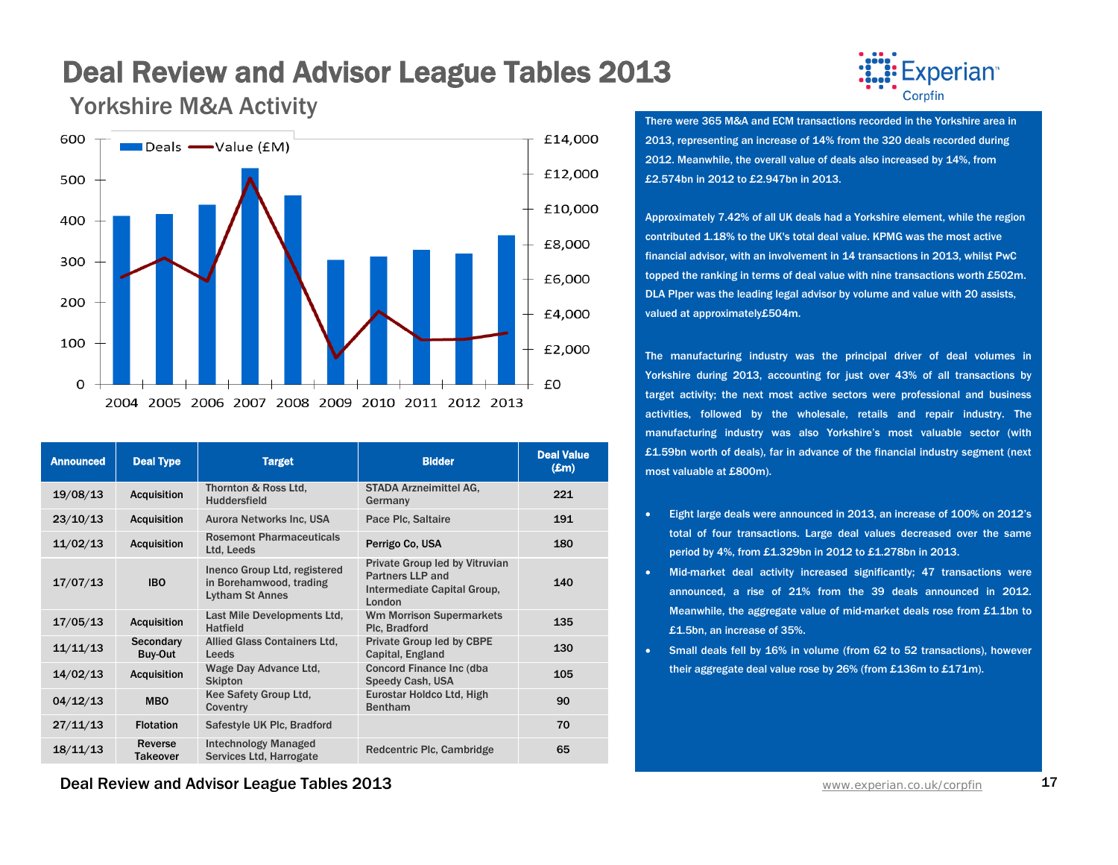

| <b>Announced</b> | <b>Deal Type</b>           | <b>Target</b>                                                                     | <b>Bidder</b>                                                                                      | <b>Deal Value</b><br>$(\pmb{\pounds} \mathbf{m})$ |
|------------------|----------------------------|-----------------------------------------------------------------------------------|----------------------------------------------------------------------------------------------------|---------------------------------------------------|
| 19/08/13         | <b>Acquisition</b>         | Thornton & Ross Ltd,<br><b>Huddersfield</b>                                       | <b>STADA Arzneimittel AG.</b><br>Germany                                                           | 221                                               |
| 23/10/13         | <b>Acquisition</b>         | <b>Aurora Networks Inc, USA</b>                                                   | Pace Plc, Saltaire                                                                                 | 191                                               |
| 11/02/13         | <b>Acquisition</b>         | <b>Rosemont Pharmaceuticals</b><br>Ltd, Leeds                                     | Perrigo Co. USA                                                                                    | 180                                               |
| 17/07/13         | <b>IBO</b>                 | Inenco Group Ltd, registered<br>in Borehamwood, trading<br><b>Lytham St Annes</b> | Private Group led by Vitruvian<br><b>Partners LLP and</b><br>Intermediate Capital Group,<br>London | 140                                               |
| 17/05/13         | <b>Acquisition</b>         | Last Mile Developments Ltd,<br><b>Hatfield</b>                                    | <b>Wm Morrison Supermarkets</b><br>Plc, Bradford                                                   | 135                                               |
| 11/11/13         | Secondary<br>Buy-Out       | <b>Allied Glass Containers Ltd.</b><br>Leeds                                      | <b>Private Group led by CBPE</b><br>Capital, England                                               | 130                                               |
| 14/02/13         | <b>Acquisition</b>         | Wage Day Advance Ltd.<br><b>Skipton</b>                                           | Concord Finance Inc (dba<br>Speedy Cash, USA                                                       | 105                                               |
| 04/12/13         | <b>MBO</b>                 | Kee Safety Group Ltd.<br>Coventry                                                 | Eurostar Holdco Ltd, High<br><b>Bentham</b>                                                        | 90                                                |
| 27/11/13         | <b>Flotation</b>           | Safestyle UK Plc, Bradford                                                        |                                                                                                    | 70                                                |
| 18/11/13         | Reverse<br><b>Takeover</b> | <b>Intechnology Managed</b><br>Services Ltd, Harrogate                            | Redcentric Plc, Cambridge                                                                          | 65                                                |

Experian<sup>®</sup> Corpfin

There were 365 M&A and ECM transactions recorded in the Yorkshire area in 2013, representing an increase of 14% from the 320 deals recorded during 2012. Meanwhile, the overall value of deals also increased by 14%, from £2.574bn in 2012 to £2.947bn in 2013.

Approximately 7.42% of all UK deals had a Yorkshire element, while the region contributed 1.18% to the UK's total deal value. KPMG was the most active financial advisor, with an involvement in 14 transactions in 2013, whilst PwC topped the ranking in terms of deal value with nine transactions worth £502m. DLA PIper was the leading legal advisor by volume and value with 20 assists, valued at approximately£504m.

The manufacturing industry was the principal driver of deal volumes in Yorkshire during 2013, accounting for just over 43% of all transactions by target activity; the next most active sectors were professional and business activities, followed by the wholesale, retails and repair industry. The manufacturing industry was also Yorkshire's most valuable sector (with £1.59bn worth of deals), far in advance of the financial industry segment (next most valuable at £800m).

- Eight large deals were announced in 2013, an increase of 100% on 2012's total of four transactions. Large deal values decreased over the same period by 4%, from £1.329bn in 2012 to £1.278bn in 2013.
- Mid-market deal activity increased significantly; 47 transactions were announced, a rise of 21% from the 39 deals announced in 2012. Meanwhile, the aggregate value of mid-market deals rose from £1.1bn to £1.5bn, an increase of 35%.
- Small deals fell by 16% in volume (from 62 to 52 transactions), however their aggregate deal value rose by 26% (from £136m to £171m).

**Deal Review and Advisor League Tables 2013** WWW.Experian.co.uk/corpfin 17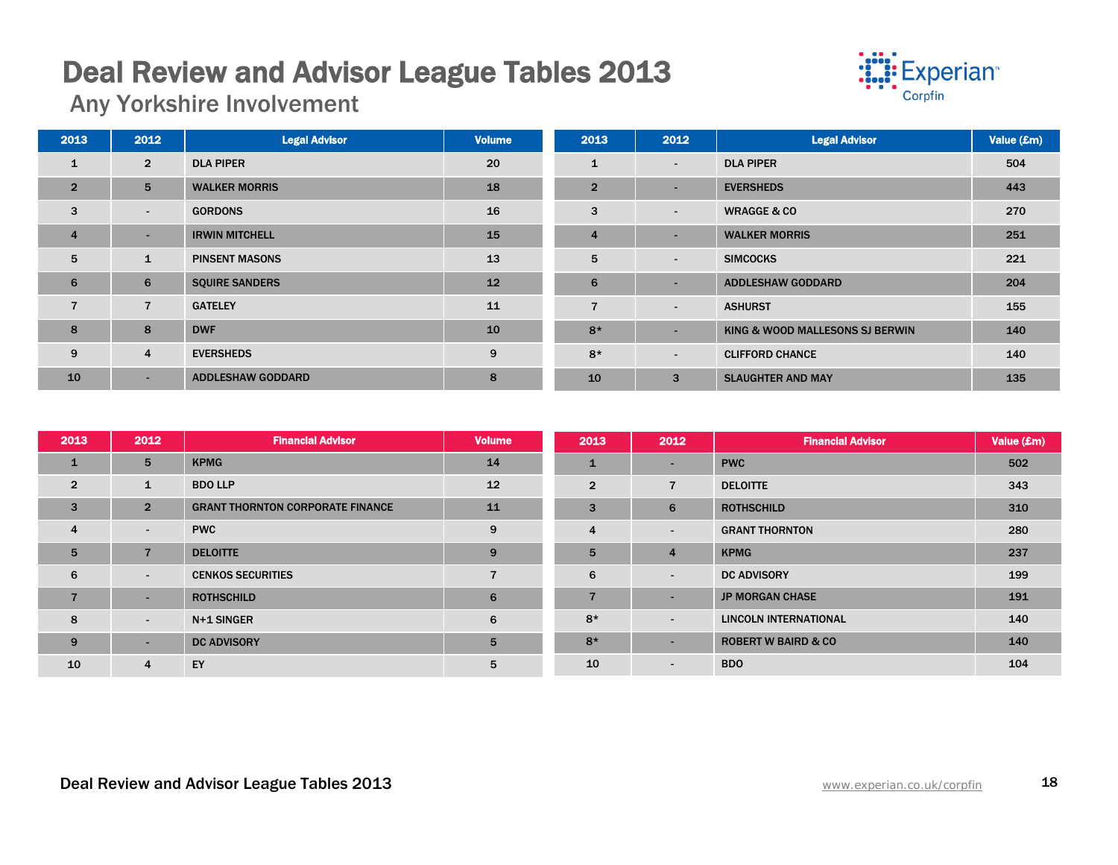# Deal Review and Advisor League Tables 2013 Any Yorkshire Involvement



| 2013           | 2012           | <b>Legal Advisor</b>     | <b>Volume</b> | 2013           | 2012                     | <b>Legal Advisor</b>            | Value (£m) |
|----------------|----------------|--------------------------|---------------|----------------|--------------------------|---------------------------------|------------|
| 1              | $\overline{2}$ | <b>DLA PIPER</b>         | 20            | $\mathbf{1}$   | $\sim$                   | <b>DLA PIPER</b>                | 504        |
| $\overline{2}$ | 5              | <b>WALKER MORRIS</b>     | 18            | $\overline{2}$ | $\sim$                   | <b>EVERSHEDS</b>                | 443        |
| 3              | $\sim$         | <b>GORDONS</b>           | 16            | 3              | $\sim$                   | <b>WRAGGE &amp; CO</b>          | 270        |
| $\overline{4}$ | $\sim$         | <b>IRWIN MITCHELL</b>    | 15            | $\overline{4}$ | $\overline{\phantom{a}}$ | <b>WALKER MORRIS</b>            | 251        |
| $5^{\circ}$    | $\mathbf{1}$   | <b>PINSENT MASONS</b>    | 13            | 5              | $\sim$                   | <b>SIMCOCKS</b>                 | 221        |
| 6              | 6              | <b>SQUIRE SANDERS</b>    | 12            | 6              | $\sim$                   | <b>ADDLESHAW GODDARD</b>        | 204        |
| $\overline{7}$ | $\overline{7}$ | <b>GATELEY</b>           | 11            | $\overline{7}$ | $\sim$                   | <b>ASHURST</b>                  | 155        |
| 8              | 8              | <b>DWF</b>               | 10            | $8*$           | $\overline{\phantom{a}}$ | KING & WOOD MALLESONS SJ BERWIN | 140        |
| 9              | $\overline{4}$ | <b>EVERSHEDS</b>         | 9             | $8*$           | $\blacksquare$           | <b>CLIFFORD CHANCE</b>          | 140        |
| 10             | ۰.             | <b>ADDLESHAW GODDARD</b> | 8             | 10             | 3                        | <b>SLAUGHTER AND MAY</b>        | 135        |

| 2013            | 2012           | <b>Financial Advisor</b>                | <b>Volume</b> | 2013           | 2012           | <b>Financial Advisor</b>       | Value (£m) |
|-----------------|----------------|-----------------------------------------|---------------|----------------|----------------|--------------------------------|------------|
| $\mathbf{1}$    | 5              | <b>KPMG</b>                             | 14            | $\mathbf{1}$   | ٠              | <b>PWC</b>                     | 502        |
| $\overline{2}$  | 1              | <b>BDO LLP</b>                          | 12            | $\overline{2}$ | $\overline{7}$ | <b>DELOITTE</b>                | 343        |
| 3               | $\overline{2}$ | <b>GRANT THORNTON CORPORATE FINANCE</b> | 11            | 3              | 6              | <b>ROTHSCHILD</b>              | 310        |
| $\overline{4}$  | $\sim$         | <b>PWC</b>                              | 9             | 4              | ٠              | <b>GRANT THORNTON</b>          | 280        |
| $5\overline{5}$ | $\overline{7}$ | <b>DELOITTE</b>                         | 9             | 5              | $\overline{4}$ | <b>KPMG</b>                    | 237        |
| 6               | $\sim$         | <b>CENKOS SECURITIES</b>                | 7             | 6              | ٠              | <b>DC ADVISORY</b>             | 199        |
| $\overline{7}$  | $\sim$         | <b>ROTHSCHILD</b>                       | 6             | $\overline{7}$ | ٠              | <b>JP MORGAN CHASE</b>         | 191        |
| 8               | $\sim$         | N+1 SINGER                              | 6             | $8*$           | ٠              | <b>LINCOLN INTERNATIONAL</b>   | 140        |
| 9               | $\sim$         | <b>DC ADVISORY</b>                      | 5             | $8*$           | ۰.             | <b>ROBERT W BAIRD &amp; CO</b> | 140        |
| 10              | 4              | EY                                      | 5             | 10             | $\sim$         | <b>BDO</b>                     | 104        |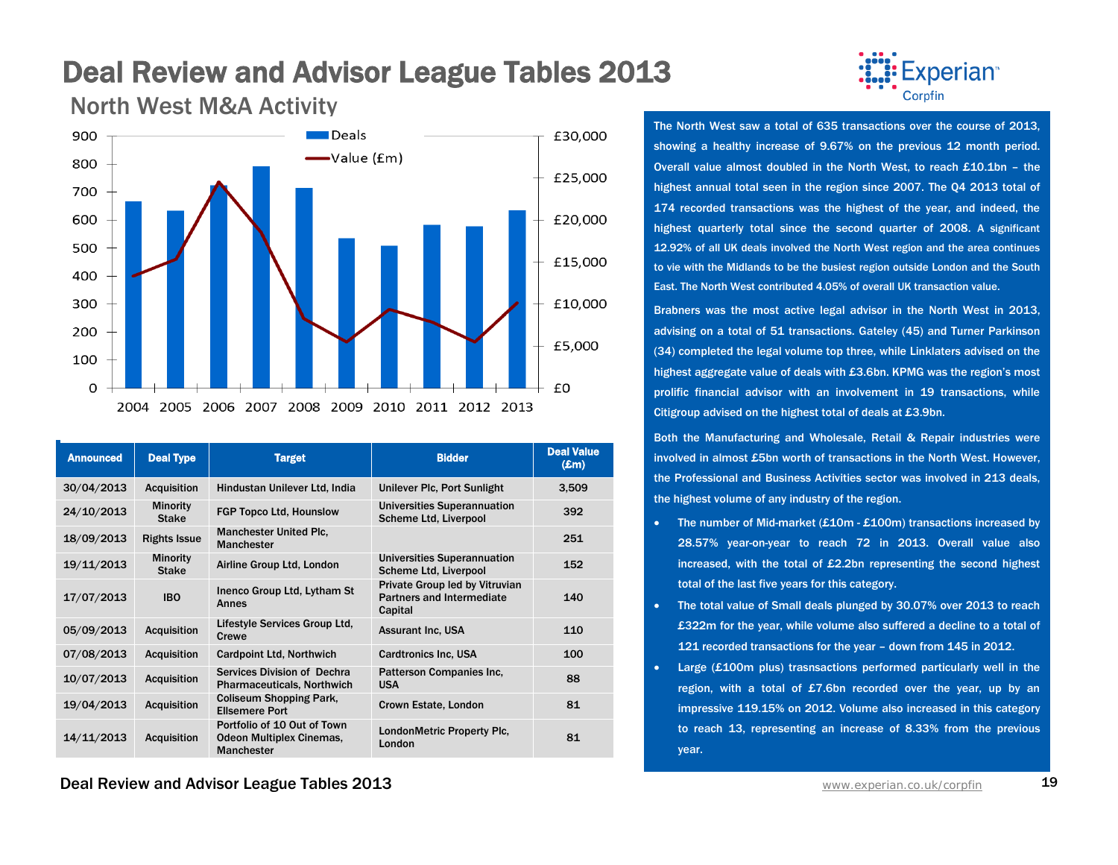

| <b>Announced</b> | <b>Deal Type</b>                | <b>Target</b>                                                                       | <b>Bidder</b>                                                                 | <b>Deal Value</b><br>$(\mathbf{Em})$ |
|------------------|---------------------------------|-------------------------------------------------------------------------------------|-------------------------------------------------------------------------------|--------------------------------------|
| 30/04/2013       | <b>Acquisition</b>              | Hindustan Unilever Ltd, India                                                       | Unilever Plc, Port Sunlight                                                   | 3,509                                |
| 24/10/2013       | <b>Minority</b><br><b>Stake</b> | <b>FGP Topco Ltd. Hounslow</b>                                                      | Universities Superannuation<br>Scheme Ltd, Liverpool                          | 392                                  |
| 18/09/2013       | <b>Rights Issue</b>             | <b>Manchester United Plc.</b><br><b>Manchester</b>                                  |                                                                               | 251                                  |
| 19/11/2013       | <b>Minority</b><br><b>Stake</b> | Airline Group Ltd, London                                                           | <b>Universities Superannuation</b><br>Scheme Ltd, Liverpool                   | 152                                  |
| 17/07/2013       | <b>IBO</b>                      | Inenco Group Ltd, Lytham St<br>Annes                                                | Private Group led by Vitruvian<br><b>Partners and Intermediate</b><br>Capital | 140                                  |
| 05/09/2013       | <b>Acquisition</b>              | Lifestyle Services Group Ltd,<br>Crewe                                              | <b>Assurant Inc. USA</b>                                                      | 110                                  |
| 07/08/2013       | <b>Acquisition</b>              | <b>Cardpoint Ltd, Northwich</b>                                                     | <b>Cardtronics Inc. USA</b>                                                   | 100                                  |
| 10/07/2013       | <b>Acquisition</b>              | Services Division of Dechra<br><b>Pharmaceuticals, Northwich</b>                    | Patterson Companies Inc,<br><b>USA</b>                                        | 88                                   |
| 19/04/2013       | <b>Acquisition</b>              | <b>Coliseum Shopping Park,</b><br><b>Ellsemere Port</b>                             | Crown Estate, London                                                          | 81                                   |
| 14/11/2013       | <b>Acquisition</b>              | Portfolio of 10 Out of Town<br><b>Odeon Multiplex Cinemas,</b><br><b>Manchester</b> | LondonMetric Property Plc.<br>London                                          | 81                                   |

North West M&A Activity



The North West saw a total of 635 transactions over the course of 2013, showing a healthy increase of 9.67% on the previous 12 month period. Overall value almost doubled in the North West, to reach £10.1bn – the highest annual total seen in the region since 2007. The Q4 2013 total of 174 recorded transactions was the highest of the year, and indeed, the highest quarterly total since the second quarter of 2008. A significant 12.92% of all UK deals involved the North West region and the area continues to vie with the Midlands to be the busiest region outside London and the South East. The North West contributed 4.05% of overall UK transaction value.

Brabners was the most active legal advisor in the North West in 2013, advising on a total of 51 transactions. Gateley (45) and Turner Parkinson (34) completed the legal volume top three, while Linklaters advised on the highest aggregate value of deals with £3.6bn. KPMG was the region's most prolific financial advisor with an involvement in 19 transactions, while Citigroup advised on the highest total of deals at £3.9bn.

Both the Manufacturing and Wholesale, Retail & Repair industries were involved in almost £5bn worth of transactions in the North West. However, the Professional and Business Activities sector was involved in 213 deals, the highest volume of any industry of the region.

- The number of Mid-market (£10m £100m) transactions increased by 28.57% year-on-year to reach 72 in 2013. Overall value also increased, with the total of £2.2bn representing the second highest total of the last five years for this category.
- The total value of Small deals plunged by 30.07% over 2013 to reach £322m for the year, while volume also suffered a decline to a total of 121 recorded transactions for the year – down from 145 in 2012.
- Large (£100m plus) trasnsactions performed particularly well in the region, with a total of £7.6bn recorded over the year, up by an impressive 119.15% on 2012. Volume also increased in this category to reach 13, representing an increase of 8.33% from the previous year.

**Deal Review and Advisor League Tables 2013** WWW. And The Manuscription Co.uk/corpfin 19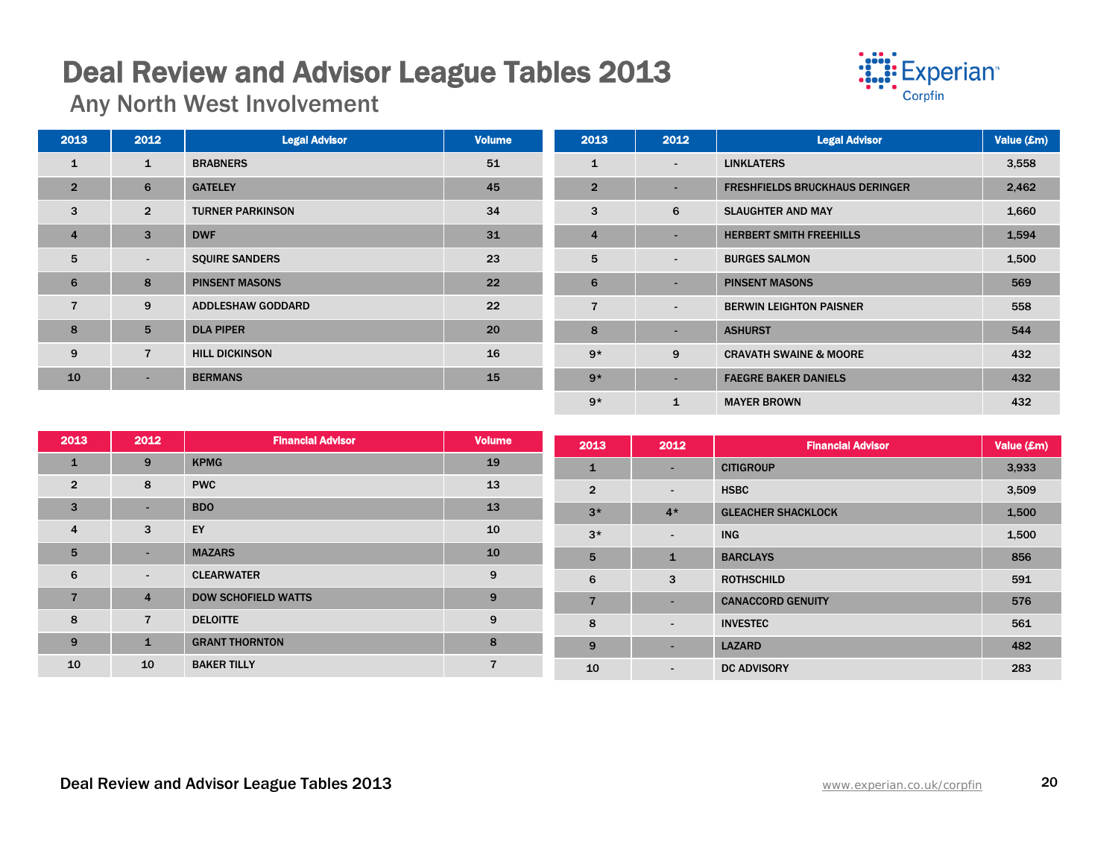# Deal Review and Advisor League Tables 2013 Any North West Involvement



| 2013           | 2012           | <b>Legal Advisor</b>     | <b>Volume</b> | 2013           | 2012                     | <b>Legal Advisor</b>                  | Value (£m) |
|----------------|----------------|--------------------------|---------------|----------------|--------------------------|---------------------------------------|------------|
| $\mathbf{1}$   | 1              | <b>BRABNERS</b>          | 51            | 1              | $\blacksquare$           | <b>LINKLATERS</b>                     | 3,558      |
| $\overline{2}$ | 6              | <b>GATELEY</b>           | 45            | $\overline{2}$ | $\overline{\phantom{a}}$ | <b>FRESHFIELDS BRUCKHAUS DERINGER</b> | 2,462      |
| 3              | $\overline{2}$ | <b>TURNER PARKINSON</b>  | 34            | 3              | 6                        | <b>SLAUGHTER AND MAY</b>              | 1,660      |
| $\overline{4}$ | 3              | <b>DWF</b>               | 31            | $\overline{4}$ | $\overline{\phantom{a}}$ | <b>HERBERT SMITH FREEHILLS</b>        | 1,594      |
| 5              | $\sim$         | <b>SQUIRE SANDERS</b>    | 23            | 5              | $\sim$                   | <b>BURGES SALMON</b>                  | 1,500      |
| 6              | 8              | <b>PINSENT MASONS</b>    | 22            | 6              | $\overline{\phantom{a}}$ | <b>PINSENT MASONS</b>                 | 569        |
| $\overline{7}$ | 9              | <b>ADDLESHAW GODDARD</b> | 22            | $\overline{7}$ | $\sim$                   | <b>BERWIN LEIGHTON PAISNER</b>        | 558        |
| 8              | 5              | <b>DLA PIPER</b>         | 20            | 8              | $\overline{\phantom{a}}$ | <b>ASHURST</b>                        | 544        |
| 9              | $\overline{7}$ | <b>HILL DICKINSON</b>    | 16            | $9*$           | 9                        | <b>CRAVATH SWAINE &amp; MOORE</b>     | 432        |
| 10             | ۰.             | <b>BERMANS</b>           | 15            | $9*$           | $\overline{\phantom{a}}$ | <b>FAEGRE BAKER DANIELS</b>           | 432        |
|                |                |                          |               | $9*$           | 1                        | <b>MAYER BROWN</b>                    | 432        |

| 2013            | 2012           | <b>Financial Advisor</b>   | <b>Volume</b> | 2013           | 2012         | <b>Financial Advisor</b>  | Value (£m) |
|-----------------|----------------|----------------------------|---------------|----------------|--------------|---------------------------|------------|
| $\mathbf{1}$    | 9              | <b>KPMG</b>                | 19            | $\mathbf{1}$   | ۰.           | <b>CITIGROUP</b>          | 3,933      |
| $\overline{2}$  | 8              | <b>PWC</b>                 | 13            | $\overline{2}$ | ۰            | <b>HSBC</b>               | 3,509      |
| 3               | $\sim$         | <b>BDO</b>                 | 13            | $3*$           | $4*$         | <b>GLEACHER SHACKLOCK</b> | 1,500      |
| $\overline{4}$  | 3              | EY                         | 10            | $3*$           | $\sim$       | <b>ING</b>                | 1,500      |
| $5\overline{5}$ | ۰.             | <b>MAZARS</b>              | 10            | 5              | $\mathbf{1}$ | <b>BARCLAYS</b>           | 856        |
| 6               | $\sim$         | <b>CLEARWATER</b>          | 9             | 6              | 3            | <b>ROTHSCHILD</b>         | 591        |
| 7               | $\overline{4}$ | <b>DOW SCHOFIELD WATTS</b> | 9             | $\overline{7}$ | ٠            | <b>CANACCORD GENUITY</b>  | 576        |
| 8               | $\overline{7}$ | <b>DELOITTE</b>            | 9             | 8              | ۰.           | <b>INVESTEC</b>           | 561        |
| 9               | $\mathbf{1}$   | <b>GRANT THORNTON</b>      | 8             | 9              | ٠            | <b>LAZARD</b>             | 482        |
| 10              | 10             | <b>BAKER TILLY</b>         |               | 10             | $\sim$       | <b>DC ADVISORY</b>        | 283        |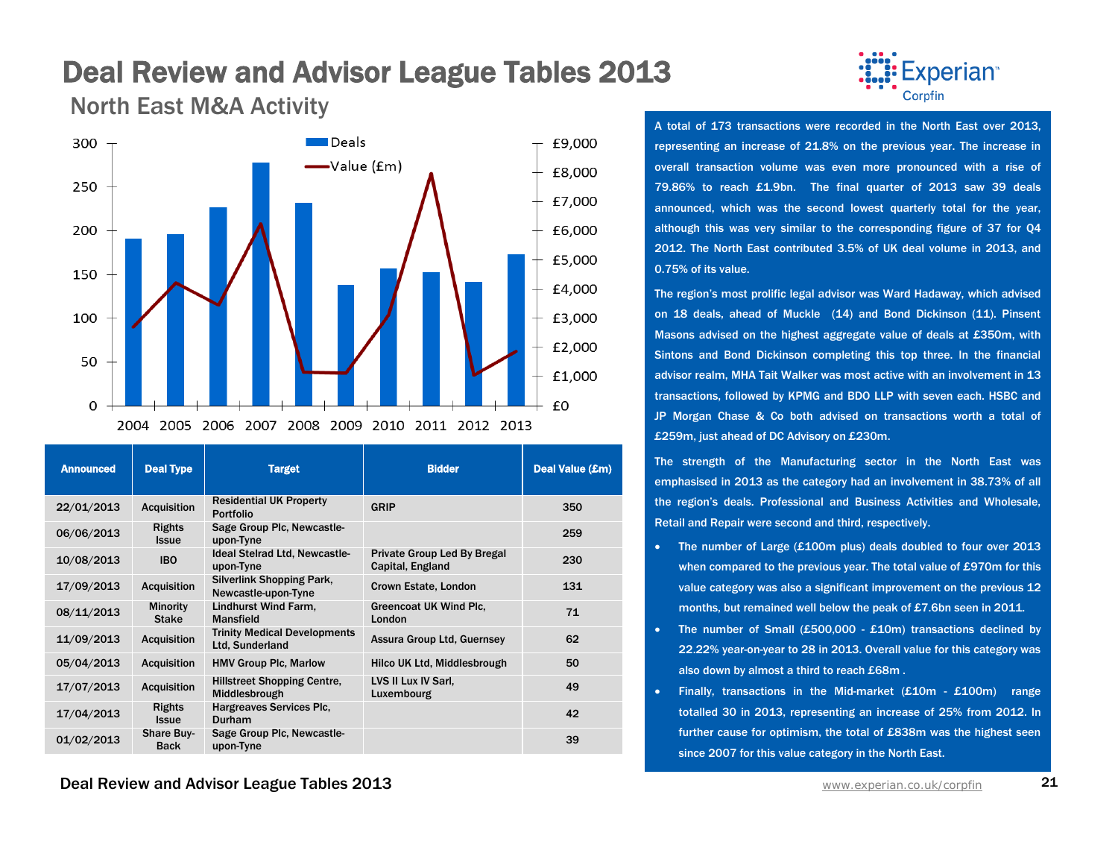North East M&A Activity



| <b>Announced</b> | <b>Deal Type</b>                 | <b>Target</b>                                          | <b>Bidder</b>                                   | Deal Value (£m) |
|------------------|----------------------------------|--------------------------------------------------------|-------------------------------------------------|-----------------|
| 22/01/2013       | <b>Acquisition</b>               | <b>Residential UK Property</b><br><b>Portfolio</b>     | <b>GRIP</b>                                     | 350             |
| 06/06/2013       | <b>Rights</b><br><b>Issue</b>    | Sage Group Plc, Newcastle-<br>upon-Tyne                |                                                 | 259             |
| 10/08/2013       | <b>IBO</b>                       | <b>Ideal Steirad Ltd, Newcastle-</b><br>upon-Tyne      | Private Group Led By Bregal<br>Capital, England | 230             |
| 17/09/2013       | <b>Acquisition</b>               | Silverlink Shopping Park,<br>Newcastle-upon-Tyne       | Crown Estate, London                            | 131             |
| 08/11/2013       | <b>Minority</b><br><b>Stake</b>  | Lindhurst Wind Farm.<br><b>Mansfield</b>               | Greencoat UK Wind Plc.<br>London                | 71              |
| 11/09/2013       | <b>Acquisition</b>               | <b>Trinity Medical Developments</b><br>Ltd, Sunderland | <b>Assura Group Ltd, Guernsey</b>               | 62              |
| 05/04/2013       | <b>Acquisition</b>               | <b>HMV Group Plc, Marlow</b>                           | Hilco UK Ltd, Middlesbrough                     | 50              |
| 17/07/2013       | <b>Acquisition</b>               | <b>Hillstreet Shopping Centre,</b><br>Middlesbrough    | LVS II Lux IV Sarl,<br>Luxembourg               | 49              |
| 17/04/2013       | <b>Rights</b><br><b>Issue</b>    | Hargreaves Services Plc.<br><b>Durham</b>              |                                                 | 42              |
| 01/02/2013       | <b>Share Buy-</b><br><b>Back</b> | Sage Group Plc, Newcastle-<br>upon-Tyne                |                                                 | 39              |

**Deal Review and Advisor League Tables 2013** WWW. And The Manuscription 21 Www.experian.co.uk/corpfin 21



A total of 173 transactions were recorded in the North East over 2013, representing an increase of 21.8% on the previous year. The increase in overall transaction volume was even more pronounced with a rise of 79.86% to reach £1.9bn. The final quarter of 2013 saw 39 deals announced, which was the second lowest quarterly total for the year, although this was very similar to the corresponding figure of 37 for Q4 2012. The North East contributed 3.5% of UK deal volume in 2013, and 0.75% of its value.

The region's most prolific legal advisor was Ward Hadaway, which advised on 18 deals, ahead of Muckle (14) and Bond Dickinson (11). Pinsent Masons advised on the highest aggregate value of deals at £350m, with Sintons and Bond Dickinson completing this top three. In the financial advisor realm, MHA Tait Walker was most active with an involvement in 13 transactions, followed by KPMG and BDO LLP with seven each. HSBC and JP Morgan Chase & Co both advised on transactions worth a total of £259m, just ahead of DC Advisory on £230m.

The strength of the Manufacturing sector in the North East was emphasised in 2013 as the category had an involvement in 38.73% of all the region's deals. Professional and Business Activities and Wholesale, Retail and Repair were second and third, respectively.

- The number of Large (£100m plus) deals doubled to four over 2013 when compared to the previous year. The total value of £970m for this value category was also a significant improvement on the previous 12 months, but remained well below the peak of £7.6bn seen in 2011.
- The number of Small (£500,000 £10m) transactions declined by 22.22% year-on-year to 28 in 2013. Overall value for this category was also down by almost a third to reach £68m .
- Finally, transactions in the Mid-market (£10m £100m) range totalled 30 in 2013, representing an increase of 25% from 2012. In further cause for optimism, the total of £838m was the highest seen since 2007 for this value category in the North East.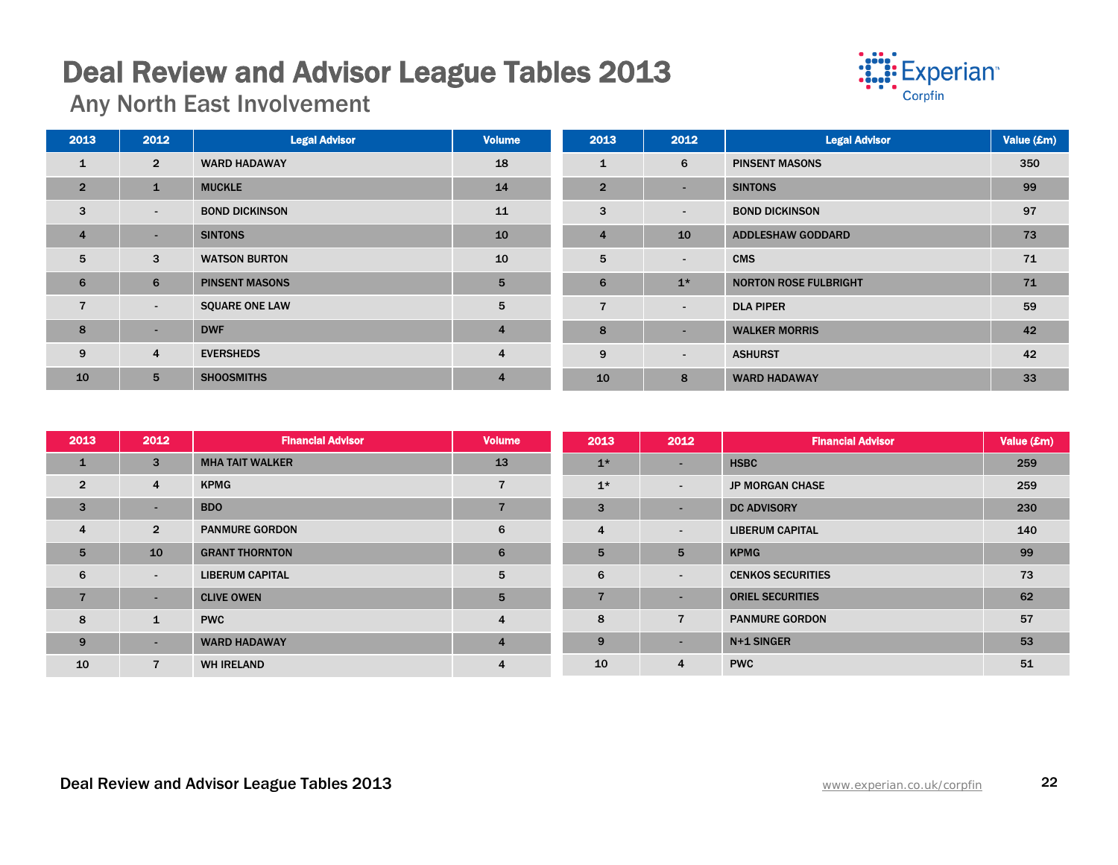# Deal Review and Advisor League Tables 2013 Any North East Involvement



| 2013           | 2012           | <b>Legal Advisor</b>  | <b>Volume</b>  | 2013           | 2012                     | <b>Legal Advisor</b>         | Value (£m) |
|----------------|----------------|-----------------------|----------------|----------------|--------------------------|------------------------------|------------|
| 1              | $\overline{2}$ | <b>WARD HADAWAY</b>   | 18             | 1              | 6                        | <b>PINSENT MASONS</b>        | 350        |
| $\overline{2}$ | $\mathbf{1}$   | <b>MUCKLE</b>         | 14             | $\overline{2}$ | $\overline{\phantom{a}}$ | <b>SINTONS</b>               | 99         |
| 3              | $\sim$         | <b>BOND DICKINSON</b> | 11             | 3              | $\overline{\phantom{a}}$ | <b>BOND DICKINSON</b>        | 97         |
| $\overline{4}$ | н.             | <b>SINTONS</b>        | 10             | $\overline{4}$ | 10                       | <b>ADDLESHAW GODDARD</b>     | 73         |
| 5              | 3              | <b>WATSON BURTON</b>  | 10             | 5              | $\overline{\phantom{a}}$ | <b>CMS</b>                   | 71         |
| 6              | 6              | <b>PINSENT MASONS</b> | 5              | 6              | $1*$                     | <b>NORTON ROSE FULBRIGHT</b> | 71         |
| $\overline{7}$ | $\sim$         | <b>SQUARE ONE LAW</b> | 5              | $\overline{7}$ | $\overline{\phantom{a}}$ | <b>DLA PIPER</b>             | 59         |
| 8              | ۰              | <b>DWF</b>            | $\overline{4}$ | 8              | $\overline{\phantom{a}}$ | <b>WALKER MORRIS</b>         | 42         |
| 9              | 4              | <b>EVERSHEDS</b>      | $\overline{4}$ | 9              | $\overline{\phantom{a}}$ | <b>ASHURST</b>               | 42         |
| 10             | 5 <sup>5</sup> | <b>SHOOSMITHS</b>     | $\overline{4}$ | 10             | 8                        | <b>WARD HADAWAY</b>          | 33         |

| 2013           | 2012           | <b>Financial Advisor</b> | <b>Volume</b>           | 2013           | 2012           | <b>Financial Advisor</b> | Value (£m) |
|----------------|----------------|--------------------------|-------------------------|----------------|----------------|--------------------------|------------|
| $\mathbf{1}$   | 3              | <b>MHA TAIT WALKER</b>   | 13                      | $1*$           | <b>COL</b>     | <b>HSBC</b>              | 259        |
| $\overline{2}$ | 4              | <b>KPMG</b>              |                         | $1*$           | $\sim$         | <b>JP MORGAN CHASE</b>   | 259        |
| 3              |                | <b>BDO</b>               |                         | 3              | <b>.</b>       | <b>DC ADVISORY</b>       | 230        |
| $\overline{4}$ | $\overline{2}$ | <b>PANMURE GORDON</b>    | 6                       | 4              | $\sim$         | <b>LIBERUM CAPITAL</b>   | 140        |
| 5              | 10             | <b>GRANT THORNTON</b>    | 6                       | 5              | 5              | <b>KPMG</b>              | 99         |
| 6              | ٠.             | <b>LIBERUM CAPITAL</b>   | 5                       | 6              | $\sim$         | <b>CENKOS SECURITIES</b> | 73         |
| $\overline{7}$ | ٠.             | <b>CLIVE OWEN</b>        | 5                       | $\overline{7}$ | <b>COL</b>     | <b>ORIEL SECURITIES</b>  | 62         |
| 8              | $\mathbf{1}$   | <b>PWC</b>               | $\overline{\mathbf{4}}$ | 8              | $\overline{7}$ | <b>PANMURE GORDON</b>    | 57         |
| 9              |                | <b>WARD HADAWAY</b>      | $\overline{4}$          | 9              | $\sim$         | N+1 SINGER               | 53         |
| 10             |                | <b>WH IRELAND</b>        | 4                       | 10             | $\overline{4}$ | <b>PWC</b>               | 51         |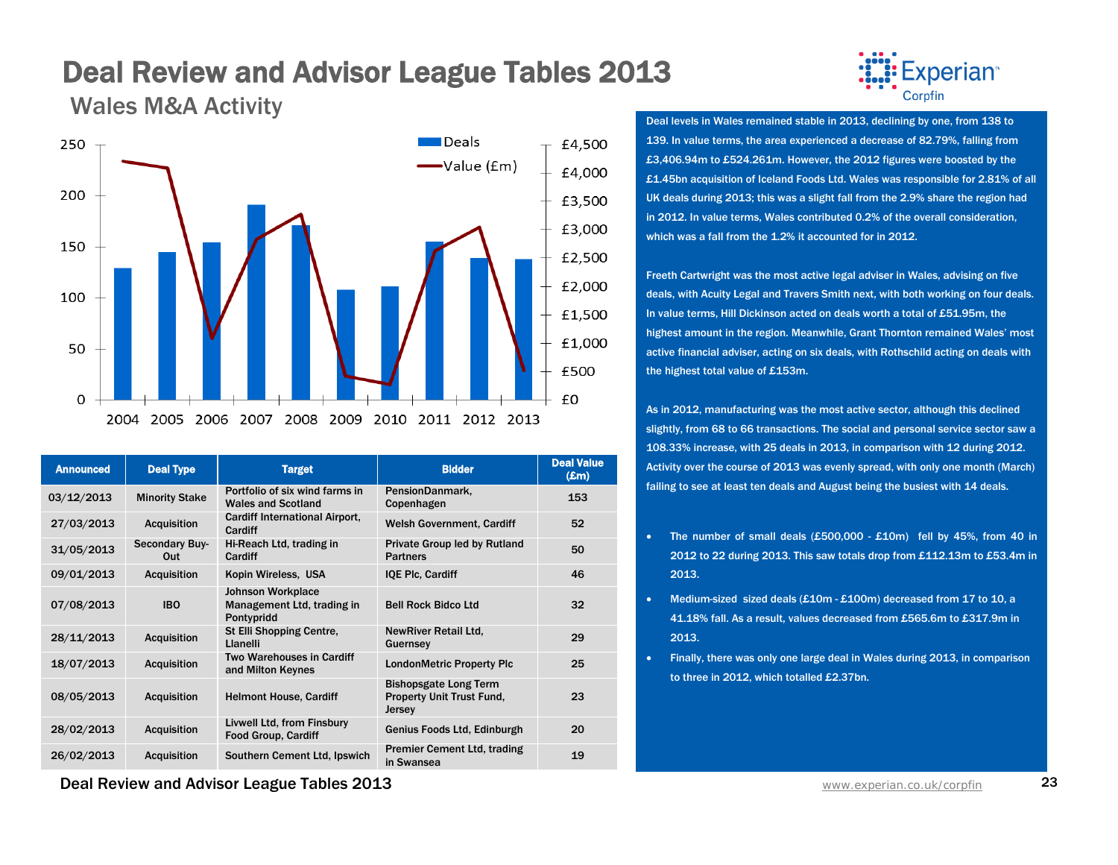Wales M&A Activity



| <b>Announced</b> | <b>Deal Type</b>      | <b>Target</b>                                                        | <b>Bidder</b>                                                              | <b>Deal Value</b><br>$(\pmb{\pounds} \mathbf{m})$ |
|------------------|-----------------------|----------------------------------------------------------------------|----------------------------------------------------------------------------|---------------------------------------------------|
| 03/12/2013       | <b>Minority Stake</b> | Portfolio of six wind farms in<br><b>Wales and Scotland</b>          | PensionDanmark,<br>Copenhagen                                              | 153                                               |
| 27/03/2013       | <b>Acquisition</b>    | Cardiff International Airport,<br>Cardiff                            | <b>Welsh Government, Cardiff</b>                                           | 52                                                |
| 31/05/2013       | Secondary Buy-<br>Out | Hi-Reach Ltd, trading in<br>Cardiff                                  | Private Group led by Rutland<br><b>Partners</b>                            | 50                                                |
| 09/01/2013       | <b>Acquisition</b>    | Kopin Wireless, USA                                                  | <b>IQE Plc. Cardiff</b>                                                    | 46                                                |
| 07/08/2013       | <b>IBO</b>            | <b>Johnson Workplace</b><br>Management Ltd, trading in<br>Pontypridd | <b>Bell Rock Bidco Ltd</b>                                                 | 32                                                |
| 28/11/2013       | <b>Acquisition</b>    | St Elli Shopping Centre,<br>Llanelli                                 | <b>NewRiver Retail Ltd,</b><br>Guernsey                                    | 29                                                |
| 18/07/2013       | <b>Acquisition</b>    | Two Warehouses in Cardiff<br>and Milton Keynes                       | <b>LondonMetric Property Plc</b>                                           | 25                                                |
| 08/05/2013       | Acquisition           | <b>Helmont House, Cardiff</b>                                        | <b>Bishopsgate Long Term</b><br><b>Property Unit Trust Fund,</b><br>Jersey | 23                                                |
| 28/02/2013       | <b>Acquisition</b>    | Livwell Ltd, from Finsbury<br><b>Food Group, Cardiff</b>             | Genius Foods Ltd, Edinburgh                                                | 20                                                |
| 26/02/2013       | Acquisition           | Southern Cement Ltd, Ipswich                                         | <b>Premier Cement Ltd, trading</b><br>in Swansea                           | 19                                                |

Experian<sup>®</sup> Corpfin

Deal levels in Wales remained stable in 2013, declining by one, from 138 to 139. In value terms, the area experienced a decrease of 82.79%, falling from £3,406.94m to £524.261m. However, the 2012 figures were boosted by the £1.45bn acquisition of Iceland Foods Ltd. Wales was responsible for 2.81% of all UK deals during 2013; this was a slight fall from the 2.9% share the region had in 2012. In value terms, Wales contributed 0.2% of the overall consideration, which was a fall from the 1.2% it accounted for in 2012.

Freeth Cartwright was the most active legal adviser in Wales, advising on five deals, with Acuity Legal and Travers Smith next, with both working on four deals. In value terms, Hill Dickinson acted on deals worth a total of £51.95m, the highest amount in the region. Meanwhile, Grant Thornton remained Wales' most active financial adviser, acting on six deals, with Rothschild acting on deals with the highest total value of £153m.

As in 2012, manufacturing was the most active sector, although this declined slightly, from 68 to 66 transactions. The social and personal service sector saw a 108.33% increase, with 25 deals in 2013, in comparison with 12 during 2012. Activity over the course of 2013 was evenly spread, with only one month (March) failing to see at least ten deals and August being the busiest with 14 deals.

- The number of small deals (£500,000 £10m) fell by 45%, from 40 in 2012 to 22 during 2013. This saw totals drop from £112.13m to £53.4m in 2013.
- Medium-sized sized deals (£10m £100m) decreased from 17 to 10, a 41.18% fall. As a result, values decreased from £565.6m to £317.9m in 2013.
- Finally, there was only one large deal in Wales during 2013, in comparison to three in 2012, which totalled £2.37bn.

**Deal Review and Advisor League Tables 2013** WWW. And The Manuscription Co.uk/corpfin 23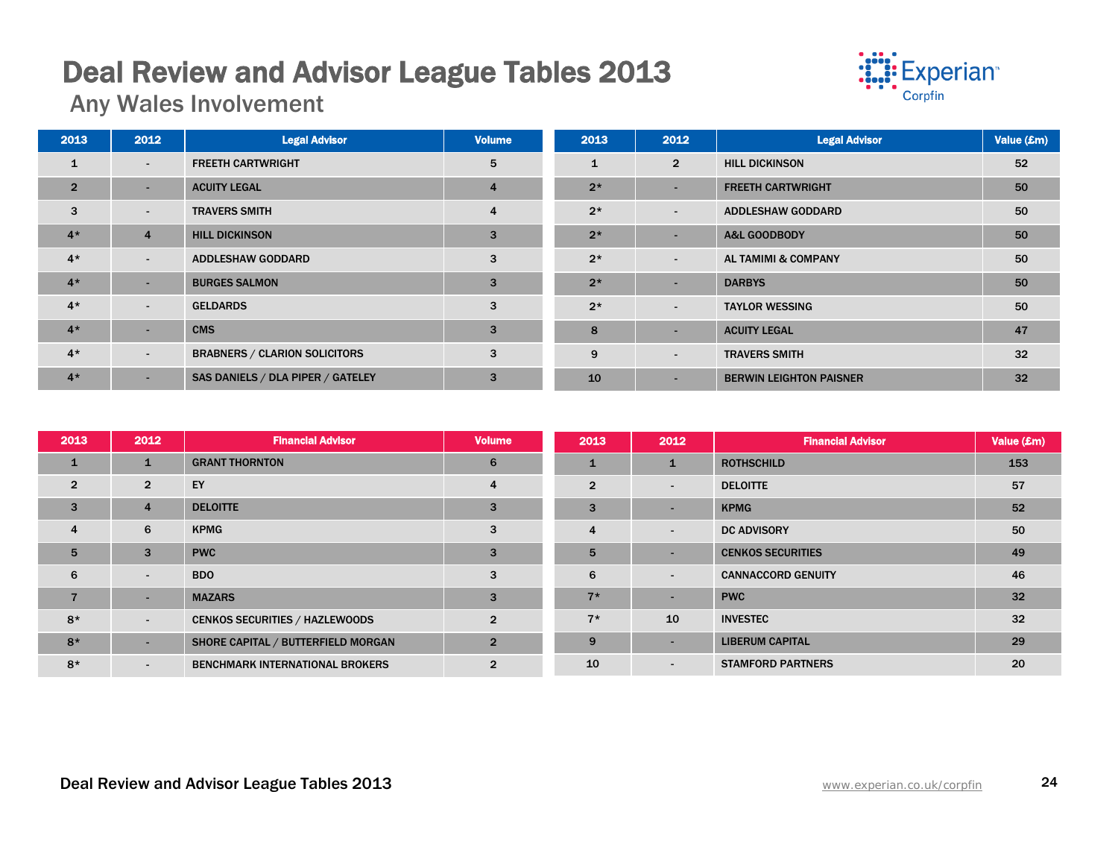# Deal Review and Advisor League Tables 2013 Any Wales Involvement



| 2013           | 2012           | <b>Legal Advisor</b>                 | <b>Volume</b> | 2013         | 2012                     | <b>Legal Advisor</b>           | Value (£m) |
|----------------|----------------|--------------------------------------|---------------|--------------|--------------------------|--------------------------------|------------|
| 1              | $\sim$         | <b>FREETH CARTWRIGHT</b>             | 5             | $\mathbf{1}$ | $\overline{2}$           | <b>HILL DICKINSON</b>          | 52         |
| $\overline{2}$ | $\sim$         | <b>ACUITY LEGAL</b>                  | 4             | $2*$         | $\overline{\phantom{a}}$ | <b>FREETH CARTWRIGHT</b>       | 50         |
| 3              | $\sim$         | <b>TRAVERS SMITH</b>                 | 4             | $2*$         | $\overline{\phantom{a}}$ | <b>ADDLESHAW GODDARD</b>       | 50         |
| $4*$           | $\overline{4}$ | <b>HILL DICKINSON</b>                | 3             | $2*$         | $\overline{\phantom{a}}$ | <b>A&amp;L GOODBODY</b>        | 50         |
| $4*$           | $\sim$         | <b>ADDLESHAW GODDARD</b>             | 3             | $2*$         | $\overline{\phantom{a}}$ | <b>AL TAMIMI &amp; COMPANY</b> | 50         |
| $4*$           | ۰.             | <b>BURGES SALMON</b>                 | 3             | $2*$         | $\overline{\phantom{a}}$ | <b>DARBYS</b>                  | 50         |
| $4*$           | $\sim$         | <b>GELDARDS</b>                      | 3             | $2*$         | $\overline{\phantom{a}}$ | <b>TAYLOR WESSING</b>          | 50         |
| $4*$           | ۰.             | <b>CMS</b>                           | 3             | 8            | $\blacksquare$           | <b>ACUITY LEGAL</b>            | 47         |
| $4*$           | $\sim$         | <b>BRABNERS / CLARION SOLICITORS</b> | 3             | 9            | $\overline{\phantom{a}}$ | <b>TRAVERS SMITH</b>           | 32         |
| $4*$           | $\sim$         | SAS DANIELS / DLA PIPER / GATELEY    | 3             | 10           | $\overline{\phantom{a}}$ | <b>BERWIN LEIGHTON PAISNER</b> | 32         |

| 2013            | 2012           | <b>Financial Advisor</b>               | <b>Volume</b>  | 2013           | 2012         | <b>Financial Advisor</b>  | Value (£m) |
|-----------------|----------------|----------------------------------------|----------------|----------------|--------------|---------------------------|------------|
| $\mathbf{1}$    |                | <b>GRANT THORNTON</b>                  | 6              | $\mathbf{1}$   | $\mathbf{1}$ | <b>ROTHSCHILD</b>         | 153        |
| $\overline{2}$  | $\overline{2}$ | EY                                     | 4              | $\overline{2}$ | ٠            | <b>DELOITTE</b>           | 57         |
| 3               | $\overline{4}$ | <b>DELOITTE</b>                        | 3              | 3              | ٠            | <b>KPMG</b>               | 52         |
| $\overline{4}$  | 6              | <b>KPMG</b>                            | 3              | $\overline{4}$ | ٠            | <b>DC ADVISORY</b>        | 50         |
| $5\overline{5}$ | 3              | <b>PWC</b>                             | 3              | 5              | -            | <b>CENKOS SECURITIES</b>  | 49         |
| 6               | $\sim$         | BDO                                    | 3              | 6              | ٠            | <b>CANNACCORD GENUITY</b> | 46         |
| $\overline{7}$  | $\sim$         | <b>MAZARS</b>                          | 3              | $7*$           | ٠            | <b>PWC</b>                | 32         |
| $8*$            | $\sim$         | <b>CENKOS SECURITIES / HAZLEWOODS</b>  | $\overline{2}$ | $7*$           | 10           | <b>INVESTEC</b>           | 32         |
| $8*$            | ۰.             | SHORE CAPITAL / BUTTERFIELD MORGAN     | $\overline{2}$ | 9              | ٠            | <b>LIBERUM CAPITAL</b>    | 29         |
| $8*$            | $\sim$         | <b>BENCHMARK INTERNATIONAL BROKERS</b> | $\overline{2}$ | 10             | ٠            | <b>STAMFORD PARTNERS</b>  | 20         |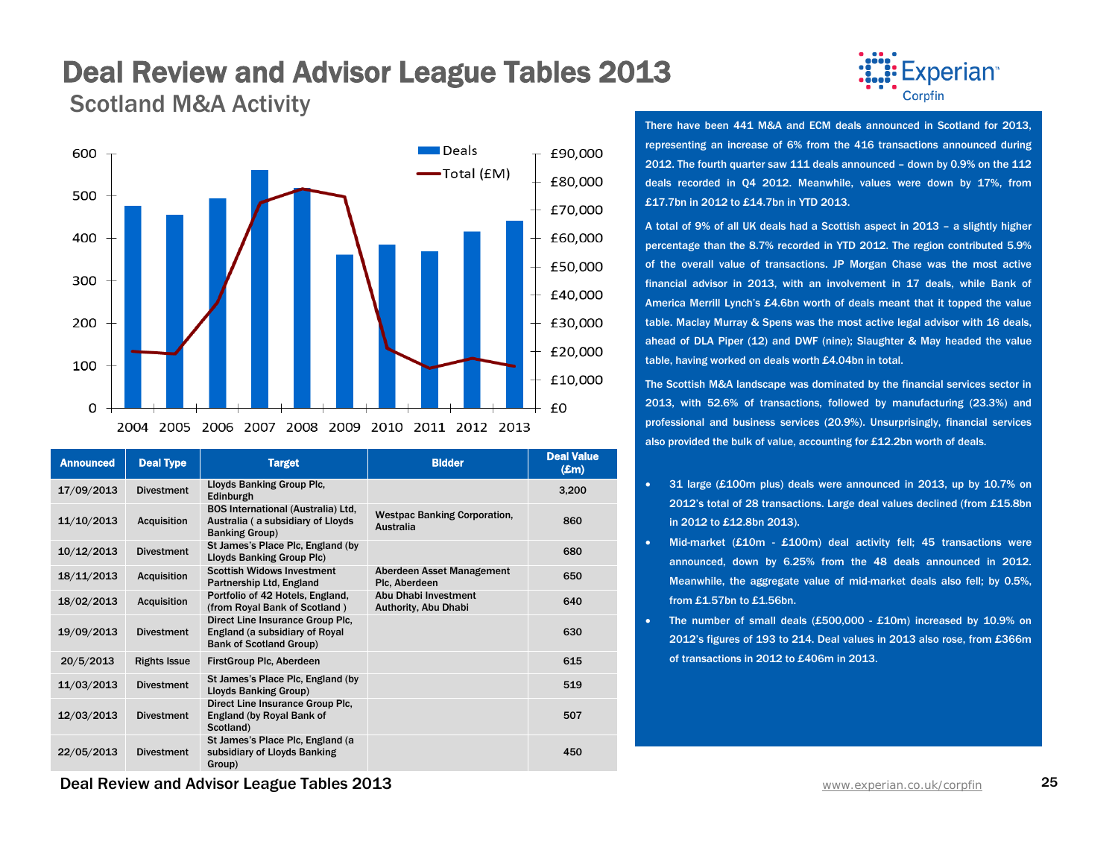### Deal Review and Advisor League Tables 2013 Scotland M&A Activity



| <b>Announced</b> | <b>Deal Type</b>    | <b>Target</b>                                                                                            | <b>Bidder</b>                                    | <b>Deal Value</b><br>$(\pmb{\pounds} \mathbf{m})$ |
|------------------|---------------------|----------------------------------------------------------------------------------------------------------|--------------------------------------------------|---------------------------------------------------|
| 17/09/2013       | <b>Divestment</b>   | Lloyds Banking Group Plc,<br>Edinburgh                                                                   |                                                  | 3,200                                             |
| 11/10/2013       | <b>Acquisition</b>  | <b>BOS International (Australia) Ltd.</b><br>Australia (a subsidiary of Lloyds)<br><b>Banking Group)</b> | <b>Westpac Banking Corporation,</b><br>Australia | 860                                               |
| 10/12/2013       | <b>Divestment</b>   | St James's Place Plc, England (by<br>Lloyds Banking Group Plc)                                           |                                                  | 680                                               |
| 18/11/2013       | <b>Acquisition</b>  | <b>Scottish Widows Investment</b><br>Partnership Ltd, England                                            | Aberdeen Asset Management<br>Plc, Aberdeen       | 650                                               |
| 18/02/2013       | <b>Acquisition</b>  | Portfolio of 42 Hotels, England,<br>(from Royal Bank of Scotland)                                        | Abu Dhabi Investment<br>Authority, Abu Dhabi     | 640                                               |
| 19/09/2013       | <b>Divestment</b>   | Direct Line Insurance Group Plc.<br>England (a subsidiary of Royal<br><b>Bank of Scotland Group)</b>     |                                                  | 630                                               |
| 20/5/2013        | <b>Rights Issue</b> | FirstGroup Plc, Aberdeen                                                                                 |                                                  | 615                                               |
| 11/03/2013       | <b>Divestment</b>   | St James's Place Plc, England (by<br>Lloyds Banking Group)                                               |                                                  | 519                                               |
| 12/03/2013       | <b>Divestment</b>   | Direct Line Insurance Group Plc.<br>England (by Royal Bank of<br>Scotland)                               |                                                  | 507                                               |
| 22/05/2013       | <b>Divestment</b>   | St James's Place Plc, England (a<br>subsidiary of Lloyds Banking<br>Group)                               |                                                  | 450                                               |



There have been 441 M&A and ECM deals announced in Scotland for 2013, representing an increase of 6% from the 416 transactions announced during 2012. The fourth quarter saw 111 deals announced – down by 0.9% on the 112 deals recorded in Q4 2012. Meanwhile, values were down by 17%, from £17.7bn in 2012 to £14.7bn in YTD 2013.

A total of 9% of all UK deals had a Scottish aspect in 2013 – a slightly higher percentage than the 8.7% recorded in YTD 2012. The region contributed 5.9% of the overall value of transactions. JP Morgan Chase was the most active financial advisor in 2013, with an involvement in 17 deals, while Bank of America Merrill Lynch's £4.6bn worth of deals meant that it topped the value table. Maclay Murray & Spens was the most active legal advisor with 16 deals, ahead of DLA Piper (12) and DWF (nine); Slaughter & May headed the value table, having worked on deals worth £4.04bn in total.

The Scottish M&A landscape was dominated by the financial services sector in 2013, with 52.6% of transactions, followed by manufacturing (23.3%) and professional and business services (20.9%). Unsurprisingly, financial services also provided the bulk of value, accounting for £12.2bn worth of deals.

- 31 large (£100m plus) deals were announced in 2013, up by 10.7% on 2012's total of 28 transactions. Large deal values declined (from £15.8bn in 2012 to £12.8bn 2013).
- Mid-market (£10m £100m) deal activity fell; 45 transactions were announced, down by 6.25% from the 48 deals announced in 2012. Meanwhile, the aggregate value of mid-market deals also fell; by 0.5%, from £1.57bn to £1.56bn.
- The number of small deals (£500,000 £10m) increased by 10.9% on 2012's figures of 193 to 214. Deal values in 2013 also rose, from £366m of transactions in 2012 to £406m in 2013.

**Deal Review and Advisor League Tables 2013** WWW. And The Manuscription Co.uk/corpfin 25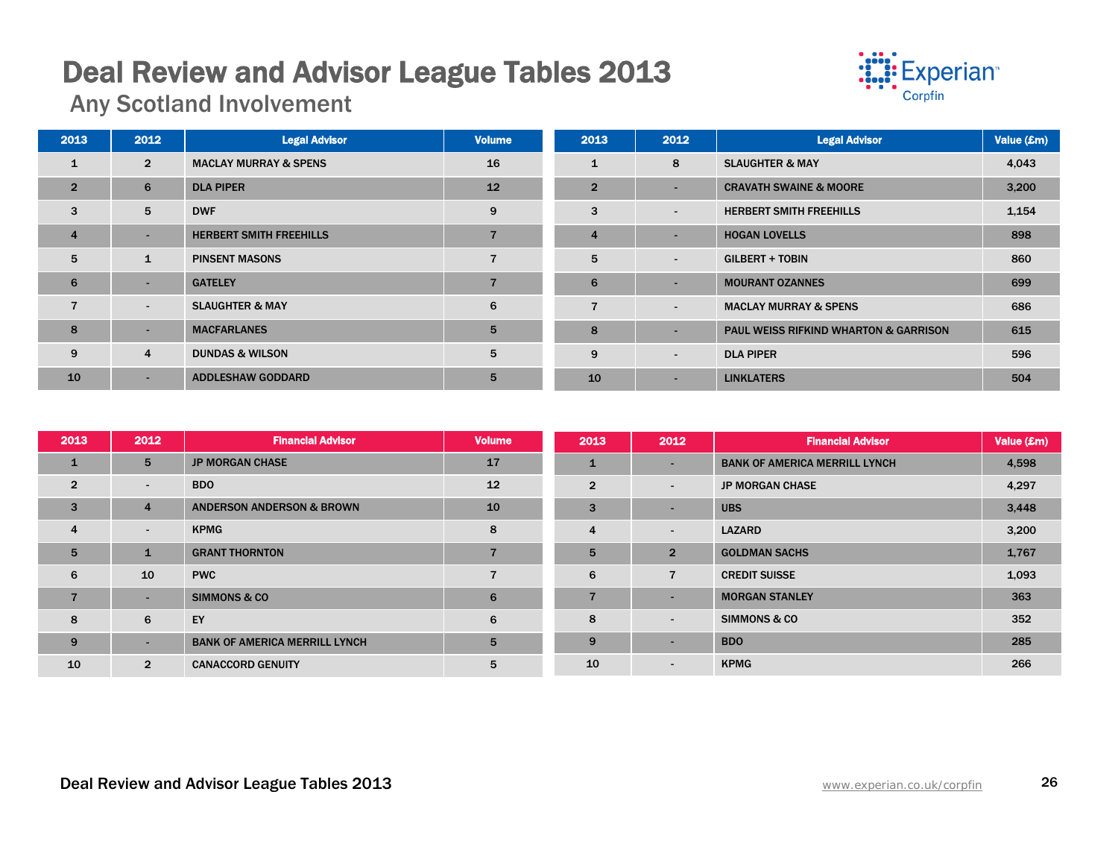# Deal Review and Advisor League Tables 2013 Any Scotland Involvement



| 2013           | 2012           | <b>Legal Advisor</b>             | <b>Volume</b> | 2013           | 2012                     | <b>Legal Advisor</b>                             | Value (£m) |
|----------------|----------------|----------------------------------|---------------|----------------|--------------------------|--------------------------------------------------|------------|
| 1              | $\overline{2}$ | <b>MACLAY MURRAY &amp; SPENS</b> | 16            | $\mathbf{1}$   | 8                        | <b>SLAUGHTER &amp; MAY</b>                       | 4,043      |
| $\overline{2}$ | 6              | <b>DLA PIPER</b>                 | 12            | $\overline{2}$ | $\overline{\phantom{0}}$ | <b>CRAVATH SWAINE &amp; MOORE</b>                | 3,200      |
| 3              | 5              | <b>DWF</b>                       | 9             | 3              | $\blacksquare$           | <b>HERBERT SMITH FREEHILLS</b>                   | 1,154      |
| $\overline{4}$ | $\sim$         | <b>HERBERT SMITH FREEHILLS</b>   |               | $\overline{4}$ | -                        | <b>HOGAN LOVELLS</b>                             | 898        |
| 5              | $\mathbf{1}$   | <b>PINSENT MASONS</b>            |               | 5              | $\blacksquare$           | <b>GILBERT + TOBIN</b>                           | 860        |
| 6              | $\sim$         | <b>GATELEY</b>                   |               | 6              | $\overline{\phantom{0}}$ | <b>MOURANT OZANNES</b>                           | 699        |
| $\overline{7}$ | $\blacksquare$ | <b>SLAUGHTER &amp; MAY</b>       | 6             | $\overline{7}$ | $\overline{a}$           | <b>MACLAY MURRAY &amp; SPENS</b>                 | 686        |
| 8              | $\sim$         | <b>MACFARLANES</b>               | 5             | 8              |                          | <b>PAUL WEISS RIFKIND WHARTON &amp; GARRISON</b> | 615        |
| 9              | 4              | <b>DUNDAS &amp; WILSON</b>       | 5             | 9              | $\overline{\phantom{a}}$ | <b>DLA PIPER</b>                                 | 596        |
| 10             | ۰              | <b>ADDLESHAW GODDARD</b>         | 5             | 10             | $\overline{\phantom{0}}$ | <b>LINKLATERS</b>                                | 504        |

| 2013            | 2012            | <b>Financial Advisor</b>             | <b>Volume</b> | 2013           | 2012                     | <b>Financial Advisor</b>             | Value (£m) |
|-----------------|-----------------|--------------------------------------|---------------|----------------|--------------------------|--------------------------------------|------------|
| $\mathbf{1}$    | 5               | <b>JP MORGAN CHASE</b>               | 17            | 1              | $\sim$                   | <b>BANK OF AMERICA MERRILL LYNCH</b> | 4,598      |
| $\overline{2}$  | $\sim$          | <b>BDO</b>                           | 12            | $\overline{2}$ | $\sim$                   | <b>JP MORGAN CHASE</b>               | 4,297      |
| 3               | 4               | <b>ANDERSON ANDERSON &amp; BROWN</b> | 10            | 3              | ٠                        | <b>UBS</b>                           | 3,448      |
| $\overline{4}$  | $\blacksquare$  | <b>KPMG</b>                          | 8             | 4              | $\blacksquare$           | <b>LAZARD</b>                        | 3,200      |
| $5\overline{5}$ | $\mathbf{1}$    | <b>GRANT THORNTON</b>                |               | 5              | $\overline{2}$           | <b>GOLDMAN SACHS</b>                 | 1,767      |
| 6               | 10 <sup>°</sup> | <b>PWC</b>                           |               | 6              | $\overline{7}$           | <b>CREDIT SUISSE</b>                 | 1,093      |
| $\overline{7}$  | $\sim$          | <b>SIMMONS &amp; CO</b>              | 6             | 7              | $\overline{\phantom{a}}$ | <b>MORGAN STANLEY</b>                | 363        |
| 8               | 6               | EY                                   | 6             | 8              | $\blacksquare$           | <b>SIMMONS &amp; CO</b>              | 352        |
| 9               | $\sim$          | <b>BANK OF AMERICA MERRILL LYNCH</b> | 5             | 9              | $\sim$                   | <b>BDO</b>                           | 285        |
| 10              | $\overline{2}$  | <b>CANACCORD GENUITY</b>             | 5             | 10             | $\blacksquare$           | <b>KPMG</b>                          | 266        |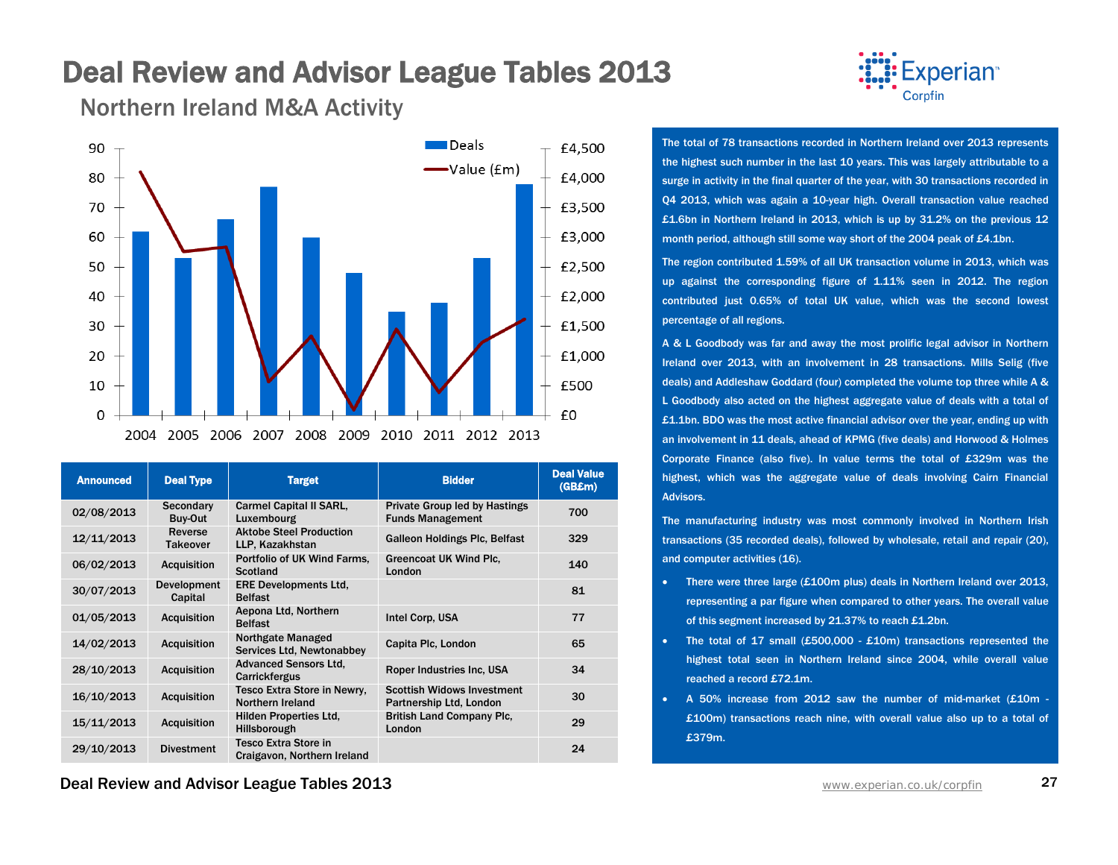Northern Ireland M&A Activity



| <b>Announced</b> | <b>Deal Type</b>              | <b>Target</b>                                              | <b>Bidder</b>                                                   | <b>Deal Value</b><br>(GB£m) |
|------------------|-------------------------------|------------------------------------------------------------|-----------------------------------------------------------------|-----------------------------|
| 02/08/2013       | Secondary<br>Buy-Out          | <b>Carmel Capital II SARL,</b><br>Luxembourg               | <b>Private Group led by Hastings</b><br><b>Funds Management</b> | 700                         |
| 12/11/2013       | Reverse<br>Takeover           | <b>Aktobe Steel Production</b><br>LLP, Kazakhstan          | <b>Galleon Holdings Plc, Belfast</b>                            | 329                         |
| 06/02/2013       | <b>Acquisition</b>            | Portfolio of UK Wind Farms.<br>Scotland                    | <b>Greencoat UK Wind Plc.</b><br>London                         | 140                         |
| 30/07/2013       | <b>Development</b><br>Capital | <b>ERE Developments Ltd.</b><br><b>Belfast</b>             |                                                                 | 81                          |
| 01/05/2013       | <b>Acquisition</b>            | Aepona Ltd, Northern<br><b>Belfast</b>                     | Intel Corp. USA                                                 | 77                          |
| 14/02/2013       | <b>Acquisition</b>            | <b>Northgate Managed</b><br>Services Ltd, Newtonabbey      | Capita Plc, London                                              | 65                          |
| 28/10/2013       | <b>Acquisition</b>            | <b>Advanced Sensors Ltd.</b><br>Carrickfergus              | Roper Industries Inc. USA                                       | 34                          |
| 16/10/2013       | <b>Acquisition</b>            | Tesco Extra Store in Newry,<br>Northern Ireland            | <b>Scottish Widows Investment</b><br>Partnership Ltd, London    | 30                          |
| 15/11/2013       | <b>Acquisition</b>            | <b>Hilden Properties Ltd.</b><br>Hillsborough              | <b>British Land Company Plc.</b><br>London                      | 29                          |
| 29/10/2013       | <b>Divestment</b>             | <b>Tesco Extra Store in</b><br>Craigavon, Northern Ireland |                                                                 | 24                          |

**Deal Review and Advisor League Tables 2013** WWW. And The Manuscription Co.uk/corpfin 27



The total of 78 transactions recorded in Northern Ireland over 2013 represents the highest such number in the last 10 years. This was largely attributable to a surge in activity in the final quarter of the year, with 30 transactions recorded in Q4 2013, which was again a 10-year high. Overall transaction value reached £1.6bn in Northern Ireland in 2013, which is up by 31.2% on the previous 12 month period, although still some way short of the 2004 peak of £4.1bn.

The region contributed 1.59% of all UK transaction volume in 2013, which was up against the corresponding figure of 1.11% seen in 2012. The region contributed just 0.65% of total UK value, which was the second lowest percentage of all regions.

A & L Goodbody was far and away the most prolific legal advisor in Northern Ireland over 2013, with an involvement in 28 transactions. Mills Selig (five deals) and Addleshaw Goddard (four) completed the volume top three while A & L Goodbody also acted on the highest aggregate value of deals with a total of £1.1bn. BDO was the most active financial advisor over the year, ending up with an involvement in 11 deals, ahead of KPMG (five deals) and Horwood & Holmes Corporate Finance (also five). In value terms the total of £329m was the highest, which was the aggregate value of deals involving Cairn Financial Advisors.

The manufacturing industry was most commonly involved in Northern Irish transactions (35 recorded deals), followed by wholesale, retail and repair (20), and computer activities (16).

- There were three large (£100m plus) deals in Northern Ireland over 2013, representing a par figure when compared to other years. The overall value of this segment increased by 21.37% to reach £1.2bn.
- The total of 17 small (£500,000 £10m) transactions represented the highest total seen in Northern Ireland since 2004, while overall value reached a record £72.1m.
- A 50% increase from 2012 saw the number of mid-market (£10m £100m) transactions reach nine, with overall value also up to a total of £379m.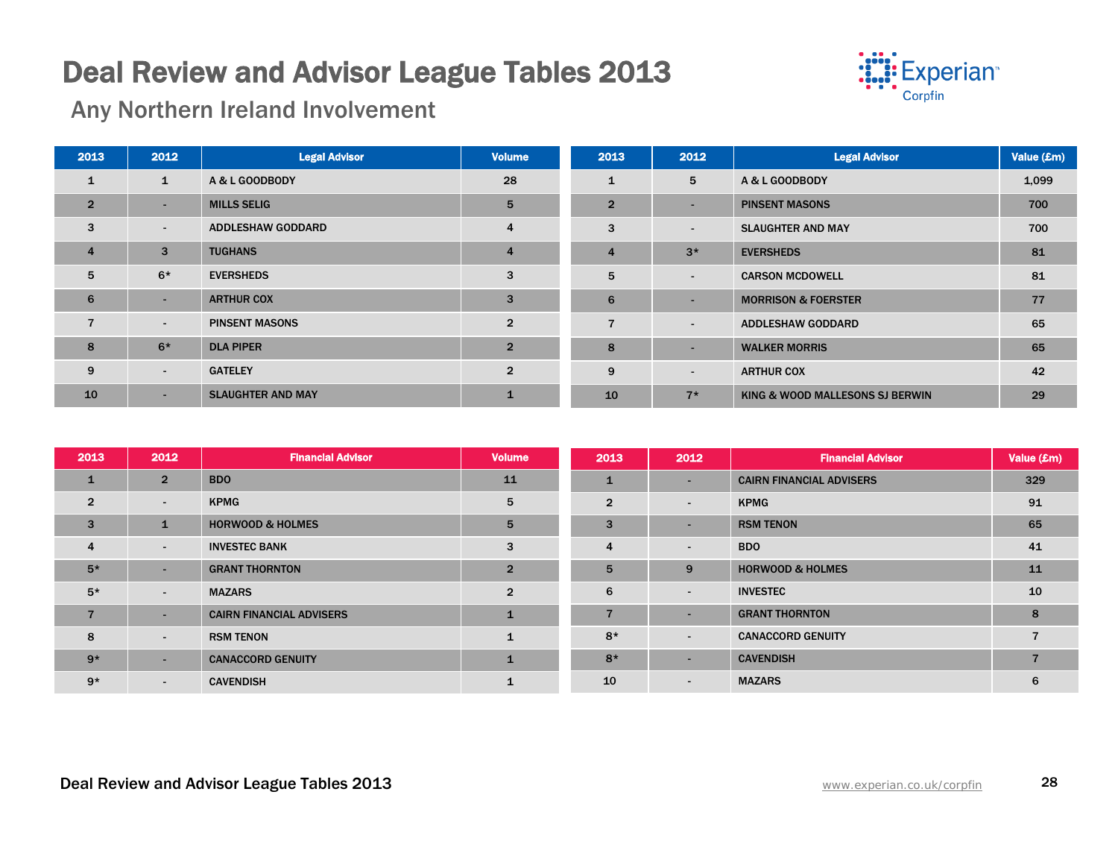

Any Northern Ireland Involvement

| 2013           | 2012           | <b>Legal Advisor</b>     | <b>Volume</b>  | 2013           | 2012                                | <b>Legal Advisor</b>            | Value (£m) |
|----------------|----------------|--------------------------|----------------|----------------|-------------------------------------|---------------------------------|------------|
| $\mathbf{1}$   | $\mathbf{1}$   | A & L GOODBODY           | 28             | $\mathbf{1}$   | 5                                   | A & L GOODBODY                  | 1,099      |
| $\overline{2}$ | ۰              | <b>MILLS SELIG</b>       | 5              | $\overline{2}$ | $\overline{\phantom{0}}$            | <b>PINSENT MASONS</b>           | 700        |
| 3              | $\blacksquare$ | <b>ADDLESHAW GODDARD</b> | $\overline{4}$ | 3              | $\overline{\phantom{a}}$            | <b>SLAUGHTER AND MAY</b>        | 700        |
| $\overline{4}$ | 3              | <b>TUGHANS</b>           | 4              | $\overline{4}$ | $3*$                                | <b>EVERSHEDS</b>                | 81         |
| 5              | $6*$           | <b>EVERSHEDS</b>         | 3              | 5              | $\overline{\phantom{a}}$            | <b>CARSON MCDOWELL</b>          | 81         |
| 6              | $\sim$         | <b>ARTHUR COX</b>        | 3              | 6              | $\overline{\phantom{a}}$            | <b>MORRISON &amp; FOERSTER</b>  | 77         |
| $\overline{7}$ | $\blacksquare$ | <b>PINSENT MASONS</b>    | $\overline{2}$ | $\overline{7}$ | $\blacksquare$                      | <b>ADDLESHAW GODDARD</b>        | 65         |
| 8              | $6*$           | <b>DLA PIPER</b>         | $\overline{2}$ | 8              | $\overline{\phantom{a}}$            | <b>WALKER MORRIS</b>            | 65         |
| 9              | $\sim$         | <b>GATELEY</b>           | $\overline{2}$ | 9              | <b>ARTHUR COX</b><br>$\blacksquare$ |                                 | 42         |
| 10             | $\sim$         | <b>SLAUGHTER AND MAY</b> | $\mathbf{1}$   | 10             | $7*$                                | KING & WOOD MALLESONS SJ BERWIN | 29         |

| 2013           | 2012                     | <b>Financial Advisor</b>        | <b>Volume</b>  | 2013                            | 2012       | <b>Financial Advisor</b>        | Value (£m) |
|----------------|--------------------------|---------------------------------|----------------|---------------------------------|------------|---------------------------------|------------|
| 1              | $\overline{2}$           | <b>BDO</b>                      | 11             | $\mathbf{1}$                    | . .        | <b>CAIRN FINANCIAL ADVISERS</b> | 329        |
| $\overline{2}$ | $\sim$                   | <b>KPMG</b>                     | 5              | $\overline{2}$                  | $\sim$     | <b>KPMG</b>                     | 91         |
| 3              |                          | <b>HORWOOD &amp; HOLMES</b>     | 5              | 3<br><b>RSM TENON</b><br>$\sim$ |            |                                 | 65         |
| $\overline{4}$ | $\blacksquare$           | <b>INVESTEC BANK</b>            | 3              | $\overline{4}$                  | $\sim$     | <b>BDO</b>                      | 41         |
| $5*$           |                          | <b>GRANT THORNTON</b>           | $\overline{2}$ | 5                               | 9          | <b>HORWOOD &amp; HOLMES</b>     | 11         |
| $5*$           | $\sim$                   | <b>MAZARS</b>                   | $\overline{2}$ | 6                               | $\sim$     | <b>INVESTEC</b>                 | 10         |
| $\overline{7}$ | ۰.                       | <b>CAIRN FINANCIAL ADVISERS</b> | $\mathbf{1}$   | $\overline{7}$                  | <b>COL</b> | <b>GRANT THORNTON</b>           | 8          |
| 8              | $\sim$                   | <b>RSM TENON</b>                |                | $8*$                            | $\sim$     | <b>CANACCORD GENUITY</b>        |            |
| $9*$           |                          | <b>CANACCORD GENUITY</b>        |                | $8*$                            | <b>COL</b> | <b>CAVENDISH</b>                |            |
| $9*$           | $\overline{\phantom{0}}$ | <b>CAVENDISH</b>                |                | 10                              | $\sim$     | <b>MAZARS</b>                   | 6          |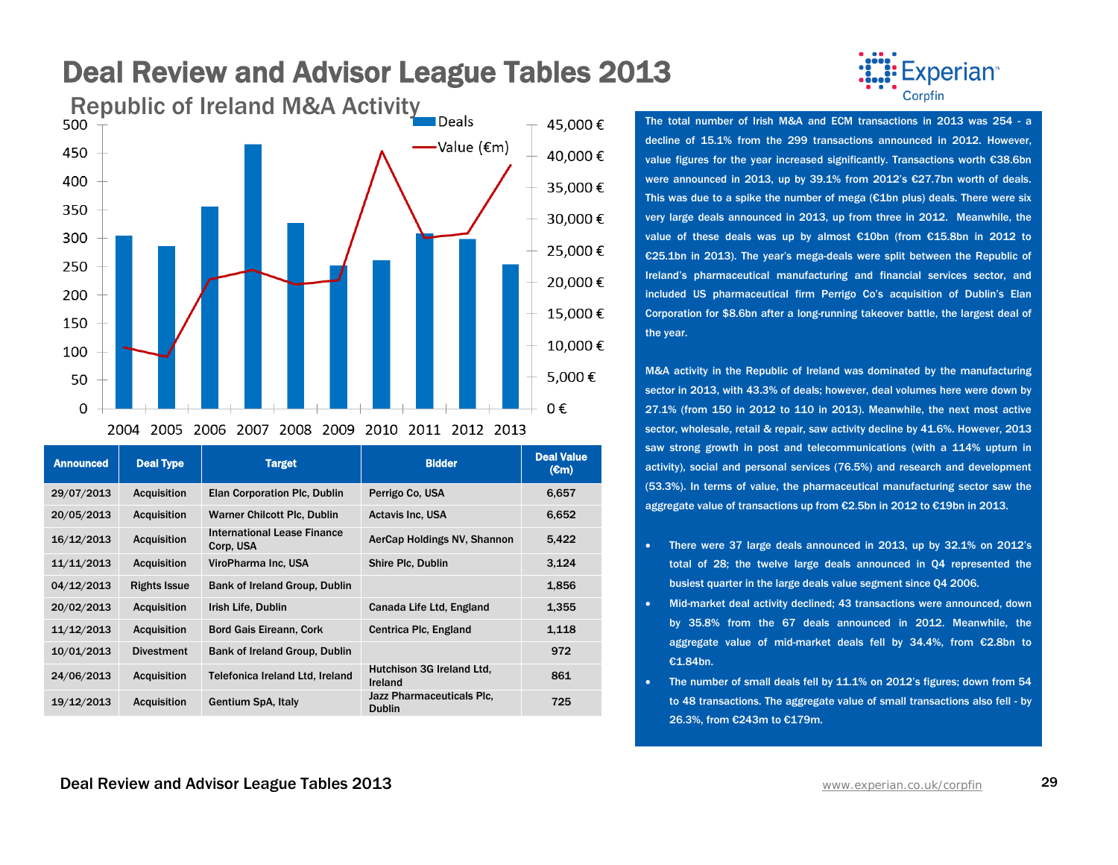

Announced Deal Type Target Bidder Bidder Deal Value (€m) 29/07/2013 Acquisition Elan Corporation Plc, Dublin Perrigo Co, USA 6,657 20/05/2013 Acquisition Warner Chilcott Plc, Dublin Actavis Inc, USA 6,652 16/12/2013 Acquisition International Lease Finance AerCap Holdings NV, Shannon 5,422 11/11/2013 Acquisition ViroPharma Inc, USA Shire Plc, Dublin 3,124 04/12/2013 Rights Issue Bank of Ireland Group, Dublin 1,856 20/02/2013 Acquisition Irish Life, Dublin Canada Life Ltd, England 1,355 11/12/2013 Acquisition Bord Gais Eireann, Cork Centrica Plc, England 1,118 10/01/2013 Divestment Bank of Ireland Group, Dublin 972 24/06/2013 Acquisition Telefonica Ireland Ltd, Ireland Ireland Hutchison 3G Ireland Ltd, 861 19/12/2013 Acquisition Gentium SpA, Italy Jazz Pharmaceuticals Plc, Publin 725



decline of 15.1% from the 299 transactions announced in 2012. However, value figures for the year increased significantly. Transactions worth €38.6bn were announced in 2013, up by 39.1% from 2012's €27.7bn worth of deals. This was due to a spike the number of mega ( $\epsilon$ 1bn plus) deals. There were six very large deals announced in 2013, up from three in 2012. Meanwhile, the value of these deals was up by almost €10bn (from €15.8bn in 2012 to €25.1bn in 2013). The year's mega-deals were split between the Republic of Ireland's pharmaceutical manufacturing and financial services sector, and included US pharmaceutical firm Perrigo Co's acquisition of Dublin's Elan Corporation for \$8.6bn after a long-running takeover battle, the largest deal of the year.

M&A activity in the Republic of Ireland was dominated by the manufacturing sector in 2013, with 43.3% of deals; however, deal volumes here were down by 27.1% (from 150 in 2012 to 110 in 2013). Meanwhile, the next most active sector, wholesale, retail & repair, saw activity decline by 41.6%. However, 2013 saw strong growth in post and telecommunications (with a 114% upturn in activity), social and personal services (76.5%) and research and development (53.3%). In terms of value, the pharmaceutical manufacturing sector saw the aggregate value of transactions up from €2.5bn in 2012 to €19bn in 2013.

- There were 37 large deals announced in 2013, up by 32.1% on 2012's total of 28; the twelve large deals announced in Q4 represented the busiest quarter in the large deals value segment since Q4 2006.
- Mid-market deal activity declined; 43 transactions were announced, down by 35.8% from the 67 deals announced in 2012. Meanwhile, the aggregate value of mid-market deals fell by 34.4%, from €2.8bn to €1.84bn.
- The number of small deals fell by 11.1% on 2012's figures; down from 54 to 48 transactions. The aggregate value of small transactions also fell - by 26.3%, from €243m to €179m.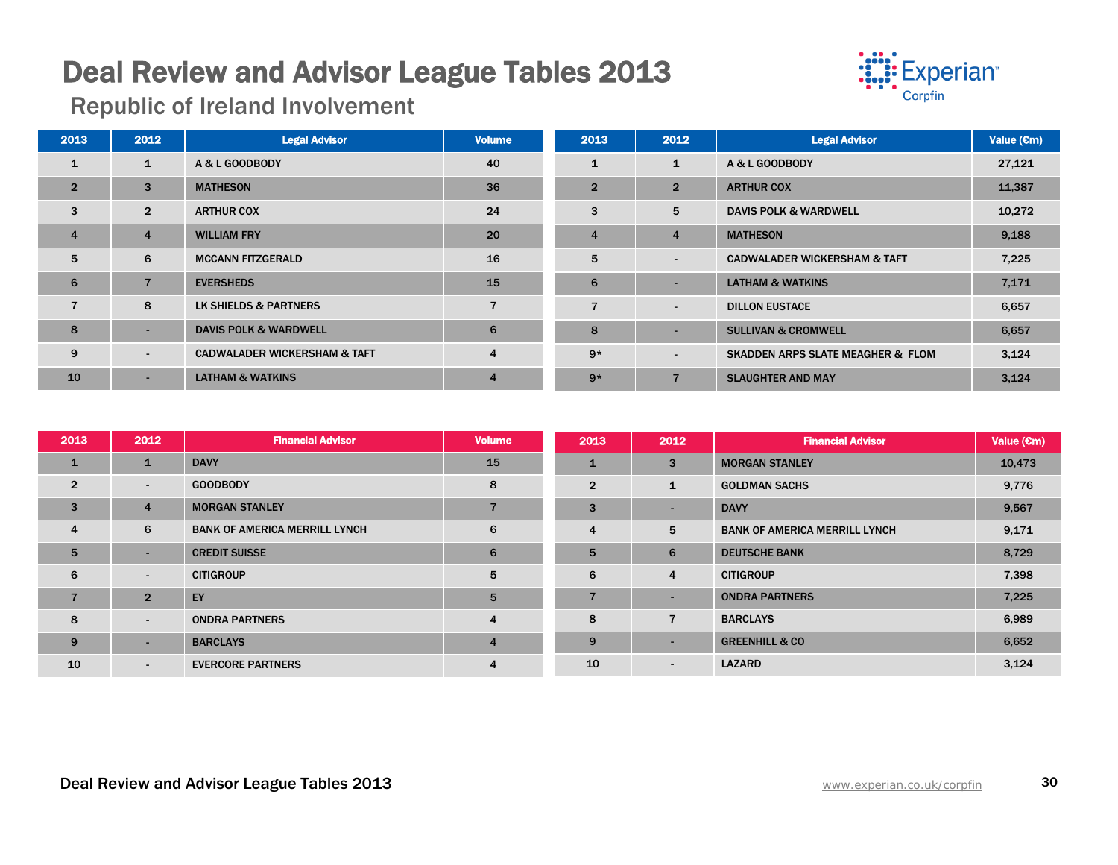

Republic of Ireland Involvement

| 2013           | 2012           | <b>Legal Advisor</b>                    | <b>Volume</b> | 2013           | 2012                     | <b>Legal Advisor</b>                         | Value $(\epsilon m)$ |
|----------------|----------------|-----------------------------------------|---------------|----------------|--------------------------|----------------------------------------------|----------------------|
| $\mathbf{1}$   | $\mathbf{1}$   | A & L GOODBODY                          | 40            | $\mathbf{1}$   | 1                        | A & L GOODBODY                               | 27,121               |
| $\overline{2}$ | 3              | <b>MATHESON</b>                         | 36            | $\overline{2}$ | $\overline{2}$           | <b>ARTHUR COX</b>                            | 11,387               |
| 3              | $\overline{2}$ | <b>ARTHUR COX</b>                       | 24            | 3              | 5                        | <b>DAVIS POLK &amp; WARDWELL</b>             | 10,272               |
| $\overline{4}$ | $\overline{4}$ | <b>WILLIAM FRY</b>                      | 20            | $\overline{4}$ | $\overline{4}$           | <b>MATHESON</b>                              | 9,188                |
| 5              | 6              | <b>MCCANN FITZGERALD</b>                | 16            | 5              | $\overline{\phantom{0}}$ | <b>CADWALADER WICKERSHAM &amp; TAFT</b>      | 7,225                |
| 6              | $\overline{7}$ | <b>EVERSHEDS</b>                        | 15            | 6              | $\overline{a}$           | <b>LATHAM &amp; WATKINS</b>                  | 7,171                |
| $\overline{7}$ | 8              | LK SHIELDS & PARTNERS                   |               | 7              | $\overline{\phantom{a}}$ | <b>DILLON EUSTACE</b>                        | 6,657                |
| 8              | -              | <b>DAVIS POLK &amp; WARDWELL</b>        | 6             | 8              |                          | <b>SULLIVAN &amp; CROMWELL</b>               | 6,657                |
| 9              | $\sim$         | <b>CADWALADER WICKERSHAM &amp; TAFT</b> | 4             | $9*$           | $\overline{\phantom{0}}$ | <b>SKADDEN ARPS SLATE MEAGHER &amp; FLOM</b> | 3,124                |
| 10             |                | <b>LATHAM &amp; WATKINS</b>             | 4             | $9*$           |                          | <b>SLAUGHTER AND MAY</b>                     | 3,124                |

| 2013           | 2012                     | <b>Financial Advisor</b>             | <b>Volume</b> | 2013           | 2012                                      | <b>Financial Advisor</b>  | Value $(\epsilon m)$ |
|----------------|--------------------------|--------------------------------------|---------------|----------------|-------------------------------------------|---------------------------|----------------------|
| $\mathbf{1}$   |                          | <b>DAVY</b>                          | 15            | 1              | 3                                         | <b>MORGAN STANLEY</b>     | 10,473               |
| $\overline{2}$ | $\overline{\phantom{a}}$ | <b>GOODBODY</b>                      | 8             | $\overline{2}$ | $\mathbf{1}$                              | <b>GOLDMAN SACHS</b>      | 9,776                |
| 3              | $\overline{4}$           | <b>MORGAN STANLEY</b>                |               | 3              | -                                         | <b>DAVY</b>               | 9,567                |
| $\overline{4}$ | 6                        | <b>BANK OF AMERICA MERRILL LYNCH</b> | 6             | $\overline{4}$ | 5<br><b>BANK OF AMERICA MERRILL LYNCH</b> |                           | 9,171                |
| 5              |                          | <b>CREDIT SUISSE</b>                 | 6             | 5              | 6                                         | <b>DEUTSCHE BANK</b>      | 8,729                |
| 6              | $\overline{\phantom{a}}$ | <b>CITIGROUP</b>                     | 5             | 6              | 4                                         | <b>CITIGROUP</b>          | 7,398                |
| $\overline{7}$ | $\overline{2}$           | EY                                   | 5             | $\overline{7}$ | н.                                        | <b>ONDRA PARTNERS</b>     | 7,225                |
| 8              | $\overline{\phantom{0}}$ | <b>ONDRA PARTNERS</b>                | 4             | 8              | $\overline{7}$                            | <b>BARCLAYS</b>           | 6,989                |
| 9              |                          | <b>BARCLAYS</b>                      | 4             | 9              | ۰                                         | <b>GREENHILL &amp; CO</b> | 6,652                |
| 10             | $\blacksquare$           | <b>EVERCORE PARTNERS</b>             |               | 10             | ۰                                         | <b>LAZARD</b>             | 3,124                |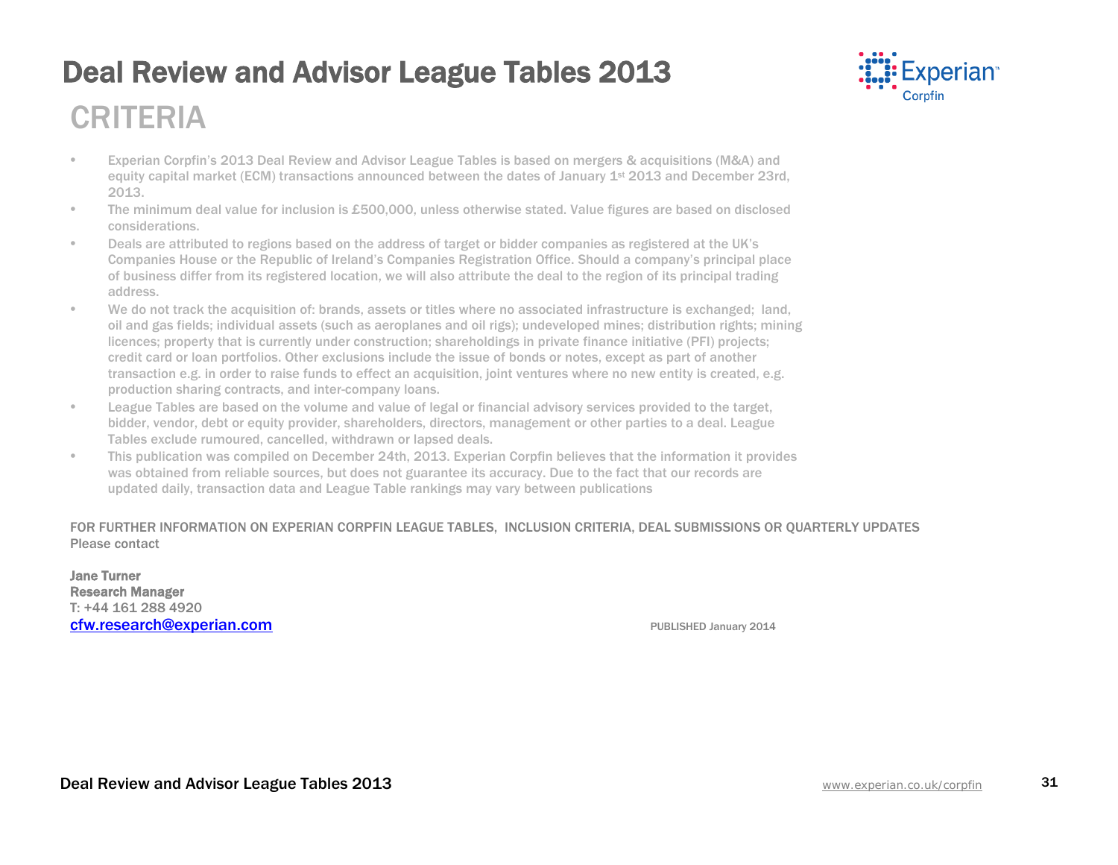

### CRITERIA

- Experian Corpfin's 2013 Deal Review and Advisor League Tables is based on mergers & acquisitions (M&A) and equity capital market (ECM) transactions announced between the dates of January 1<sup>st</sup> 2013 and December 23rd, 2013.
- The minimum deal value for inclusion is £500,000, unless otherwise stated. Value figures are based on disclosed considerations.
- Deals are attributed to regions based on the address of target or bidder companies as registered at the UK's Companies House or the Republic of Ireland's Companies Registration Office. Should a company's principal place of business differ from its registered location, we will also attribute the deal to the region of its principal trading address.
- We do not track the acquisition of: brands, assets or titles where no associated infrastructure is exchanged; land, oil and gas fields; individual assets (such as aeroplanes and oil rigs); undeveloped mines; distribution rights; mining licences; property that is currently under construction; shareholdings in private finance initiative (PFI) projects; credit card or loan portfolios. Other exclusions include the issue of bonds or notes, except as part of another transaction e.g. in order to raise funds to effect an acquisition, joint ventures where no new entity is created, e.g. production sharing contracts, and inter-company loans.
- League Tables are based on the volume and value of legal or financial advisory services provided to the target, bidder, vendor, debt or equity provider, shareholders, directors, management or other parties to a deal. League Tables exclude rumoured, cancelled, withdrawn or lapsed deals.
- This publication was compiled on December 24th, 2013. Experian Corpfin believes that the information it provides was obtained from reliable sources, but does not guarantee its accuracy. Due to the fact that our records are updated daily, transaction data and League Table rankings may vary between publications

#### FOR FURTHER INFORMATION ON EXPERIAN CORPFIN LEAGUE TABLES, INCLUSION CRITERIA, DEAL SUBMISSIONS OR QUARTERLY UPDATES Please contact

Jane Turner Research Manager T: +44 161 288 4920 **cfw.research@experian.com PUBLISHED January 2014**